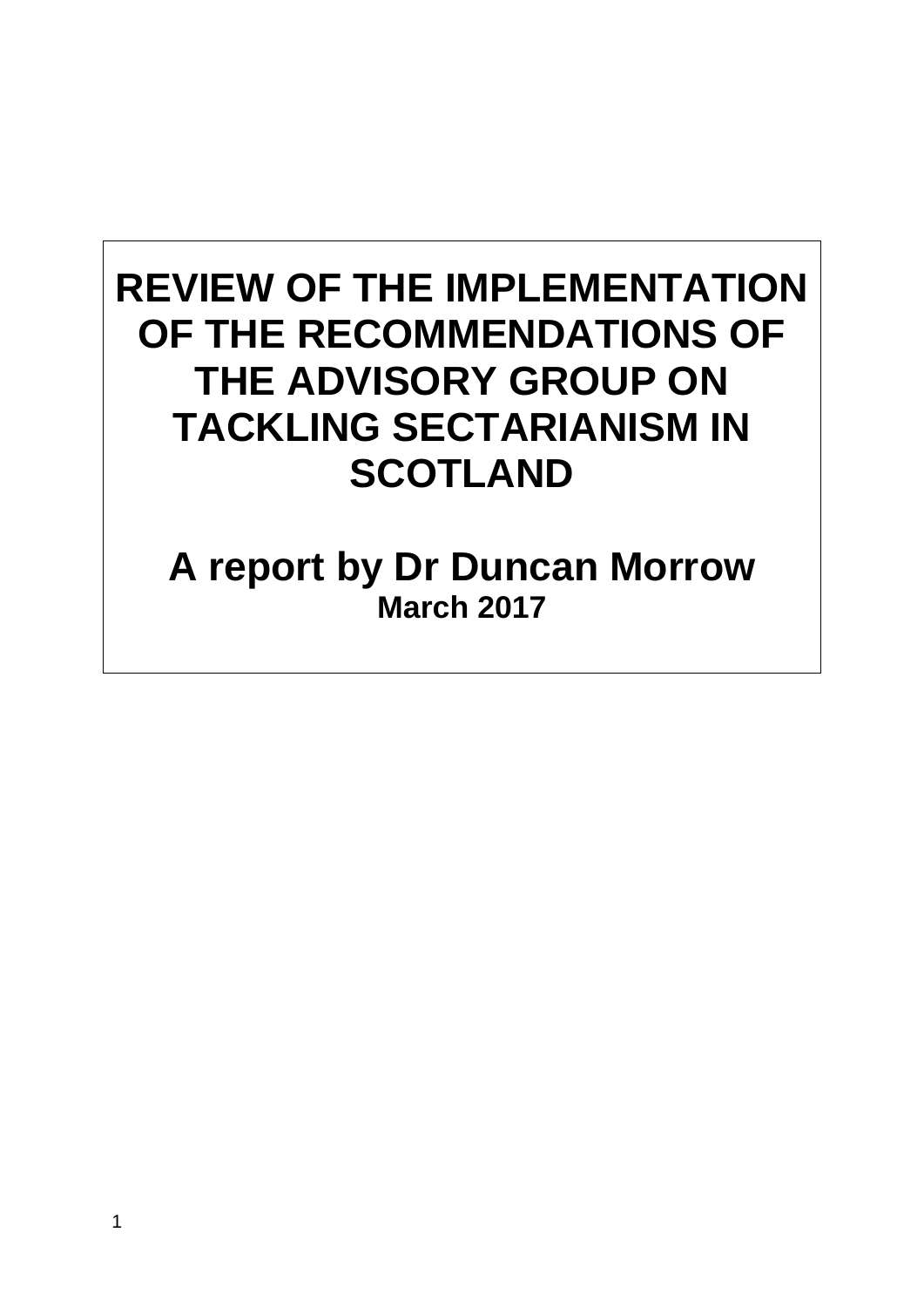# **REVIEW OF THE IMPLEMENTATION OF THE RECOMMENDATIONS OF THE ADVISORY GROUP ON TACKLING SECTARIANISM IN SCOTLAND**

# **A report by Dr Duncan Morrow March 2017**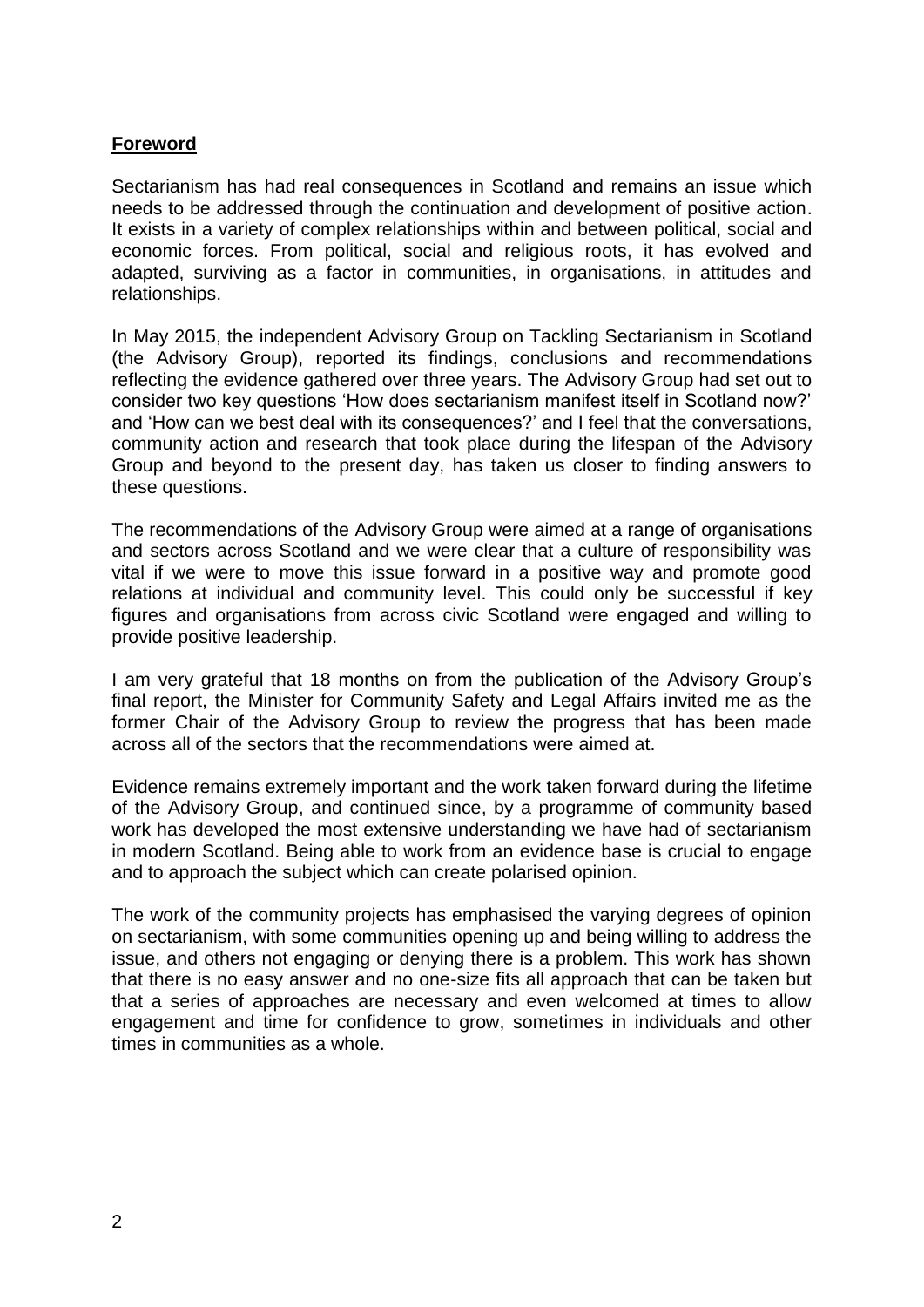#### **Foreword**

Sectarianism has had real consequences in Scotland and remains an issue which needs to be addressed through the continuation and development of positive action. It exists in a variety of complex relationships within and between political, social and economic forces. From political, social and religious roots, it has evolved and adapted, surviving as a factor in communities, in organisations, in attitudes and relationships.

In May 2015, the independent Advisory Group on Tackling Sectarianism in Scotland (the Advisory Group), reported its findings, conclusions and recommendations reflecting the evidence gathered over three years. The Advisory Group had set out to consider two key questions 'How does sectarianism manifest itself in Scotland now?' and 'How can we best deal with its consequences?' and I feel that the conversations, community action and research that took place during the lifespan of the Advisory Group and beyond to the present day, has taken us closer to finding answers to these questions.

The recommendations of the Advisory Group were aimed at a range of organisations and sectors across Scotland and we were clear that a culture of responsibility was vital if we were to move this issue forward in a positive way and promote good relations at individual and community level. This could only be successful if key figures and organisations from across civic Scotland were engaged and willing to provide positive leadership.

I am very grateful that 18 months on from the publication of the Advisory Group's final report, the Minister for Community Safety and Legal Affairs invited me as the former Chair of the Advisory Group to review the progress that has been made across all of the sectors that the recommendations were aimed at.

Evidence remains extremely important and the work taken forward during the lifetime of the Advisory Group, and continued since, by a programme of community based work has developed the most extensive understanding we have had of sectarianism in modern Scotland. Being able to work from an evidence base is crucial to engage and to approach the subject which can create polarised opinion.

The work of the community projects has emphasised the varying degrees of opinion on sectarianism, with some communities opening up and being willing to address the issue, and others not engaging or denying there is a problem. This work has shown that there is no easy answer and no one-size fits all approach that can be taken but that a series of approaches are necessary and even welcomed at times to allow engagement and time for confidence to grow, sometimes in individuals and other times in communities as a whole.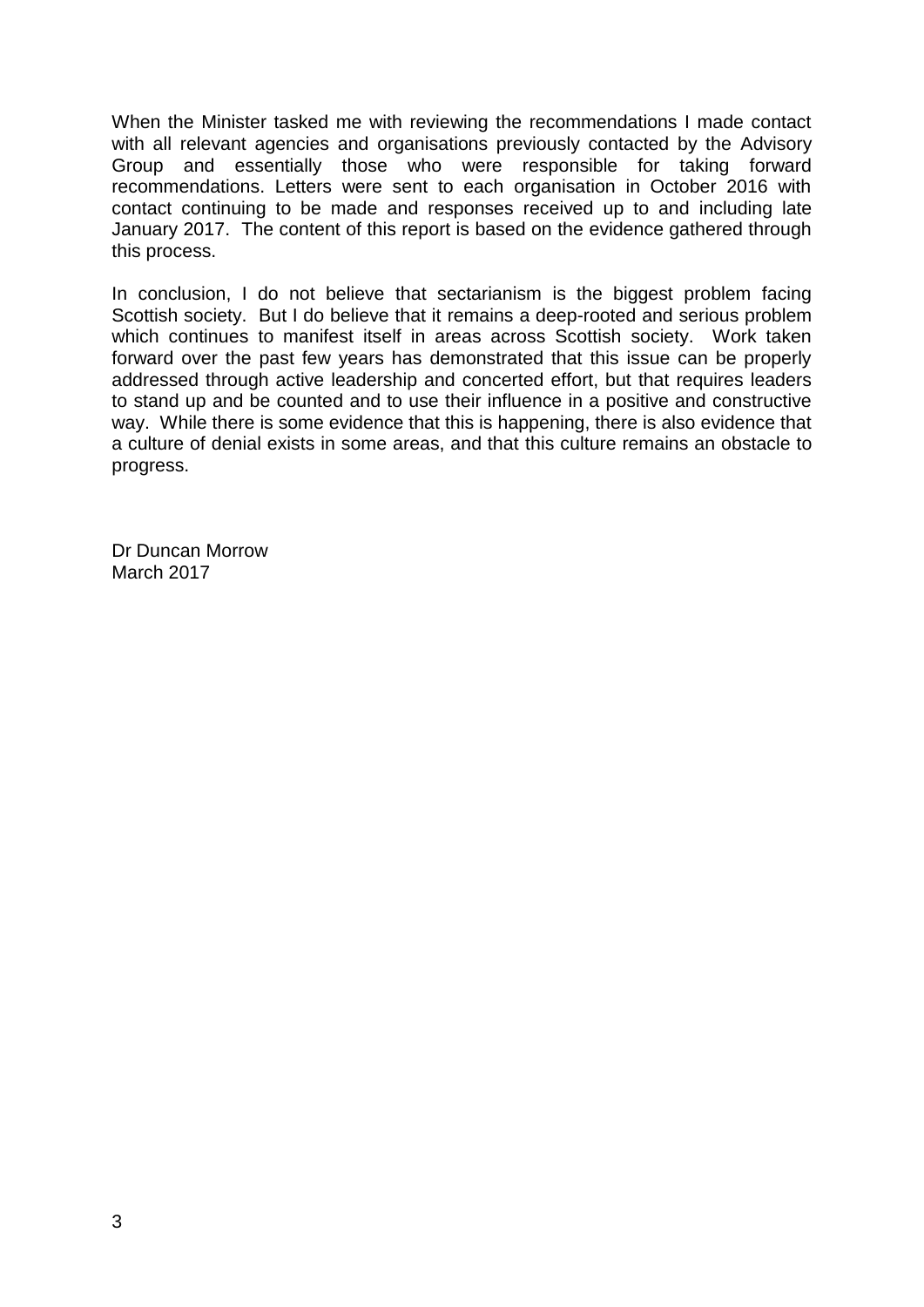When the Minister tasked me with reviewing the recommendations I made contact with all relevant agencies and organisations previously contacted by the Advisory Group and essentially those who were responsible for taking forward recommendations. Letters were sent to each organisation in October 2016 with contact continuing to be made and responses received up to and including late January 2017. The content of this report is based on the evidence gathered through this process.

In conclusion, I do not believe that sectarianism is the biggest problem facing Scottish society. But I do believe that it remains a deep-rooted and serious problem which continues to manifest itself in areas across Scottish society. Work taken forward over the past few years has demonstrated that this issue can be properly addressed through active leadership and concerted effort, but that requires leaders to stand up and be counted and to use their influence in a positive and constructive way. While there is some evidence that this is happening, there is also evidence that a culture of denial exists in some areas, and that this culture remains an obstacle to progress.

Dr Duncan Morrow March 2017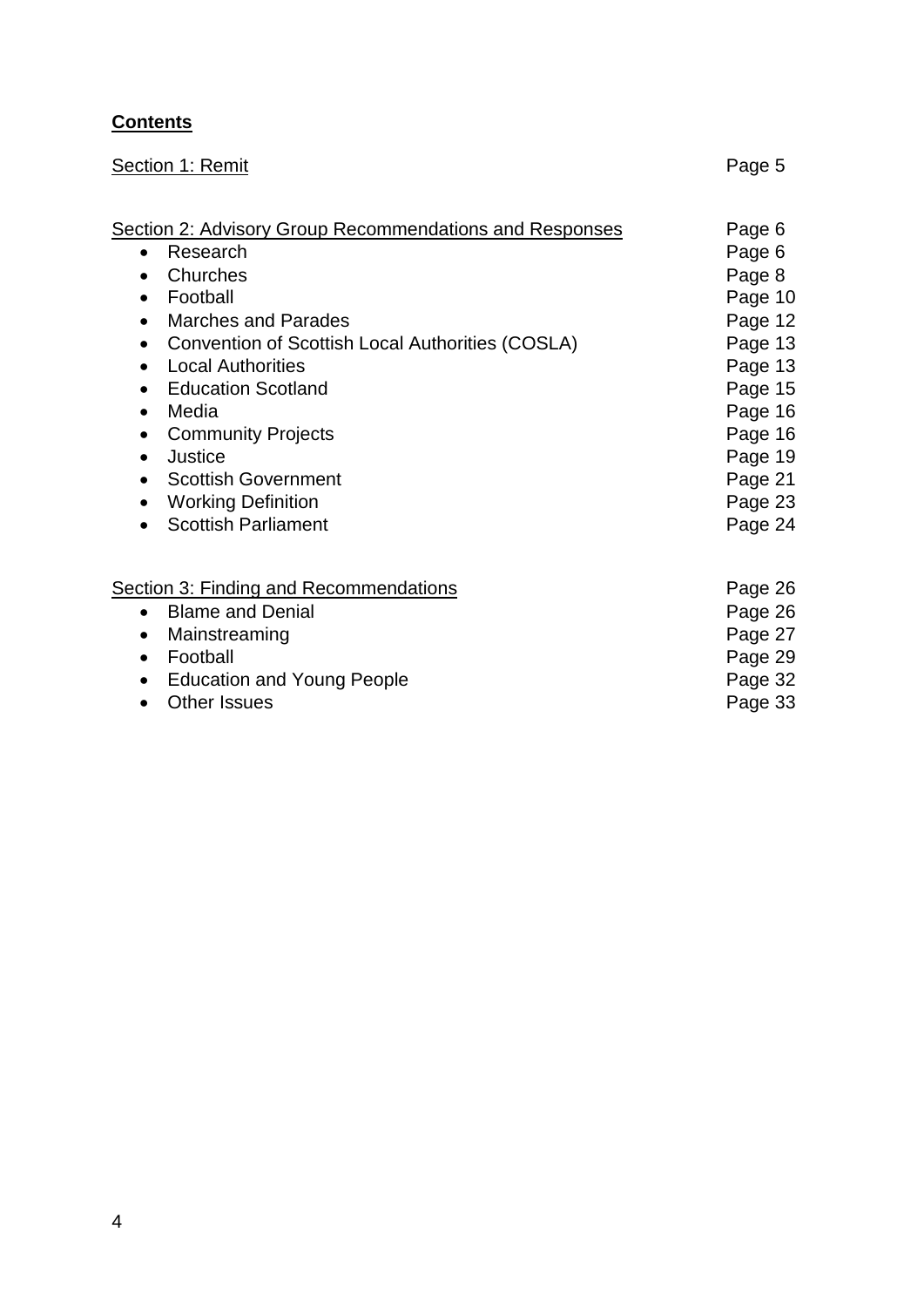# **Contents**

| Section 1: Remit                                                                                                                                                                                                                                                                                                                                                                                                                                                                                                            | Page 5                                                                                                                                              |
|-----------------------------------------------------------------------------------------------------------------------------------------------------------------------------------------------------------------------------------------------------------------------------------------------------------------------------------------------------------------------------------------------------------------------------------------------------------------------------------------------------------------------------|-----------------------------------------------------------------------------------------------------------------------------------------------------|
| <b>Section 2: Advisory Group Recommendations and Responses</b><br>• Research<br>Churches<br>$\bullet$<br>Football<br>$\bullet$<br><b>Marches and Parades</b><br>$\bullet$<br>Convention of Scottish Local Authorities (COSLA)<br>$\bullet$<br><b>Local Authorities</b><br><b>Education Scotland</b><br>$\bullet$<br>Media<br>$\bullet$<br><b>Community Projects</b><br>$\bullet$<br>Justice<br>$\bullet$<br><b>Scottish Government</b><br>$\bullet$<br><b>Working Definition</b><br><b>Scottish Parliament</b><br>$\bullet$ | Page 6<br>Page 6<br>Page 8<br>Page 10<br>Page 12<br>Page 13<br>Page 13<br>Page 15<br>Page 16<br>Page 16<br>Page 19<br>Page 21<br>Page 23<br>Page 24 |
| <b>Section 3: Finding and Recommendations</b><br><b>Blame and Denial</b><br>$\bullet$<br>Mainstreaming<br>$\bullet$<br>Football<br>$\bullet$<br><b>Education and Young People</b><br><b>Other Issues</b><br>$\bullet$                                                                                                                                                                                                                                                                                                       | Page 26<br>Page 26<br>Page 27<br>Page 29<br>Page 32<br>Page 33                                                                                      |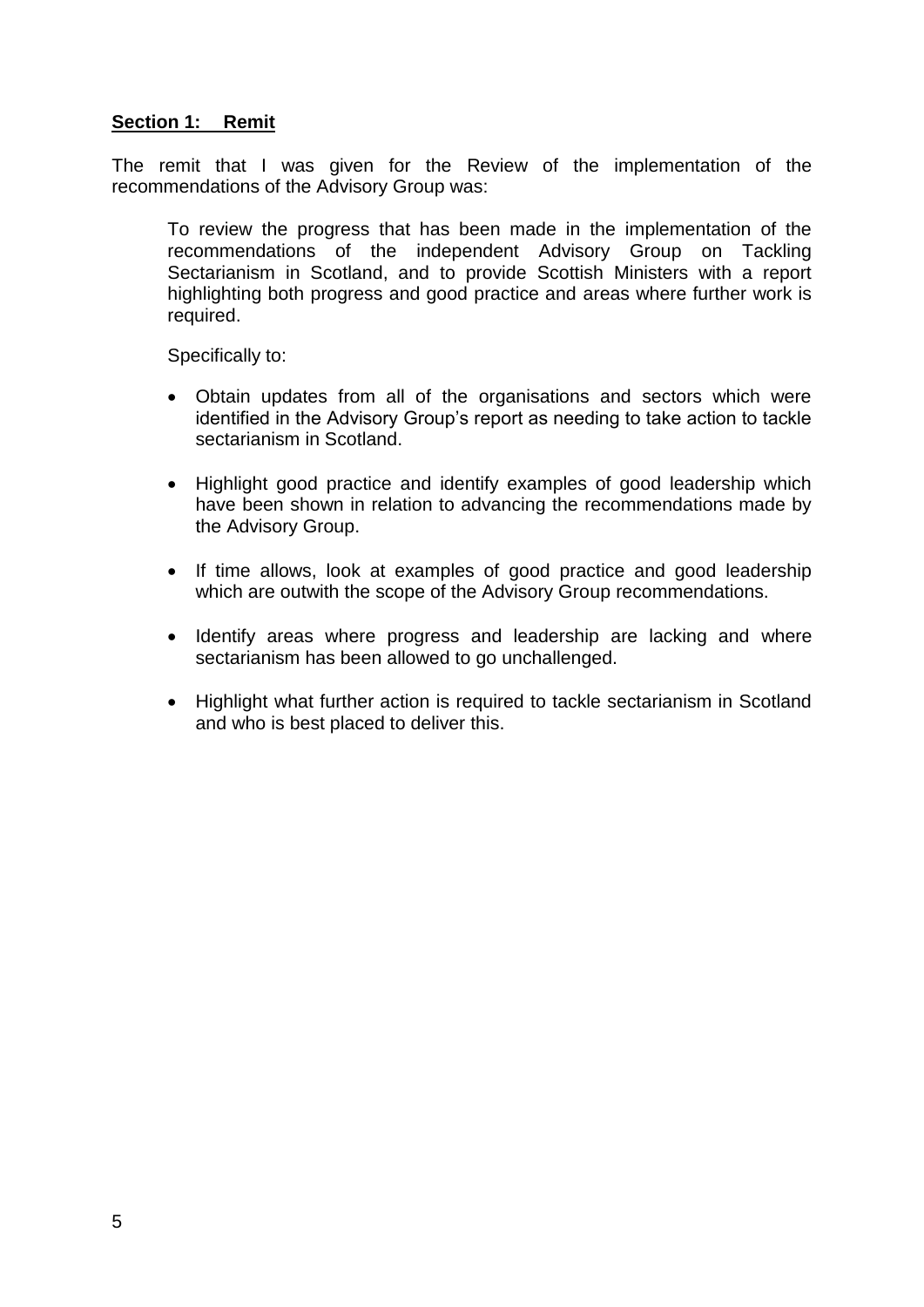#### **Section 1: Remit**

The remit that I was given for the Review of the implementation of the recommendations of the Advisory Group was:

To review the progress that has been made in the implementation of the recommendations of the independent Advisory Group on Tackling Sectarianism in Scotland, and to provide Scottish Ministers with a report highlighting both progress and good practice and areas where further work is required.

Specifically to:

- Obtain updates from all of the organisations and sectors which were identified in the Advisory Group's report as needing to take action to tackle sectarianism in Scotland
- Highlight good practice and identify examples of good leadership which have been shown in relation to advancing the recommendations made by the Advisory Group.
- If time allows, look at examples of good practice and good leadership which are outwith the scope of the Advisory Group recommendations.
- Identify areas where progress and leadership are lacking and where sectarianism has been allowed to go unchallenged.
- Highlight what further action is required to tackle sectarianism in Scotland and who is best placed to deliver this.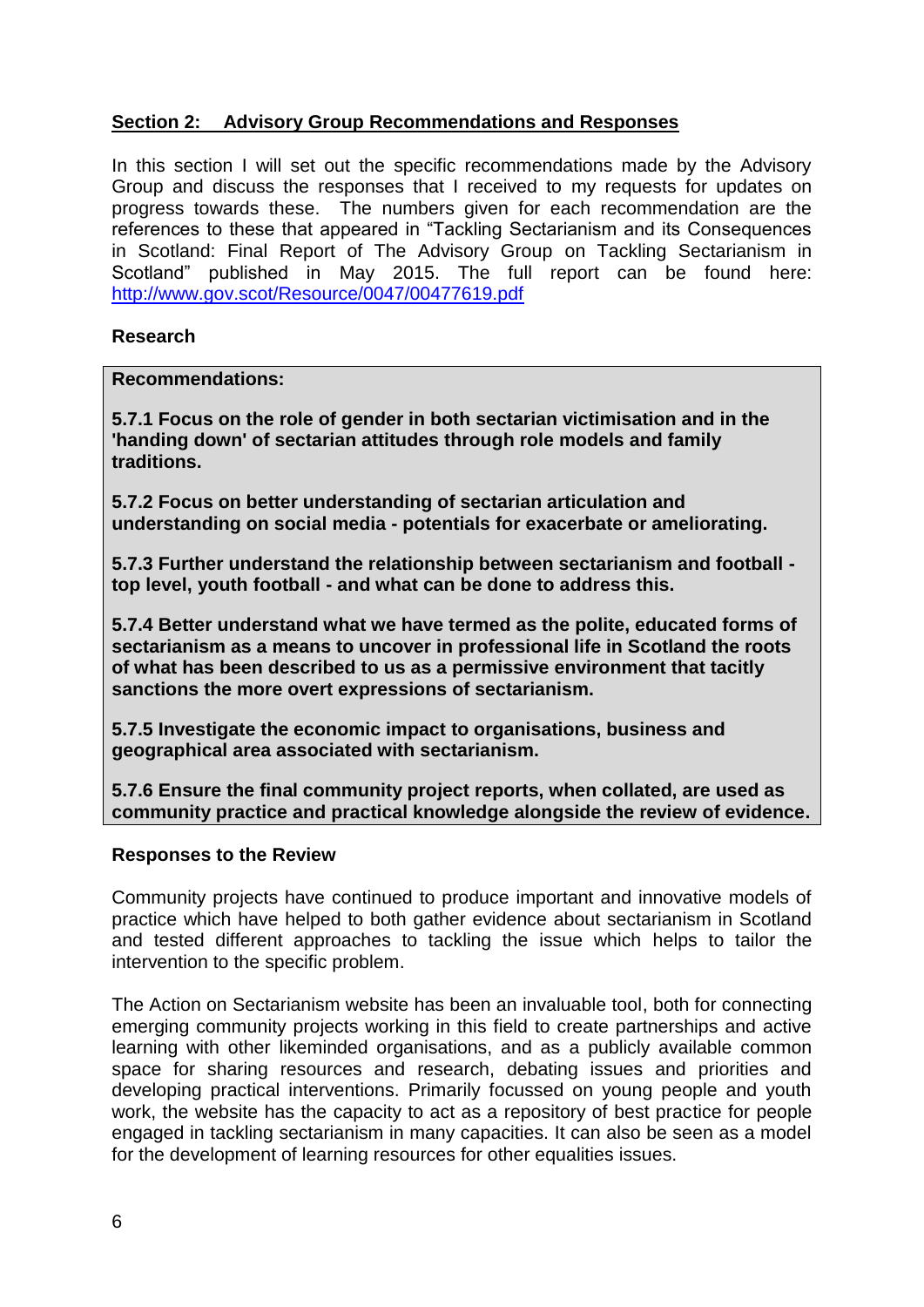# **Section 2: Advisory Group Recommendations and Responses**

In this section I will set out the specific recommendations made by the Advisory Group and discuss the responses that I received to my requests for updates on progress towards these. The numbers given for each recommendation are the references to these that appeared in "Tackling Sectarianism and its Consequences in Scotland: Final Report of The Advisory Group on Tackling Sectarianism in Scotland" published in May 2015. The full report can be found here: <http://www.gov.scot/Resource/0047/00477619.pdf>

#### **Research**

**Recommendations:**

**5.7.1 Focus on the role of gender in both sectarian victimisation and in the 'handing down' of sectarian attitudes through role models and family traditions.** 

**5.7.2 Focus on better understanding of sectarian articulation and understanding on social media - potentials for exacerbate or ameliorating.** 

**5.7.3 Further understand the relationship between sectarianism and football top level, youth football - and what can be done to address this.** 

**5.7.4 Better understand what we have termed as the polite, educated forms of sectarianism as a means to uncover in professional life in Scotland the roots of what has been described to us as a permissive environment that tacitly sanctions the more overt expressions of sectarianism.** 

**5.7.5 Investigate the economic impact to organisations, business and geographical area associated with sectarianism.** 

**5.7.6 Ensure the final community project reports, when collated, are used as community practice and practical knowledge alongside the review of evidence.**

#### **Responses to the Review**

Community projects have continued to produce important and innovative models of practice which have helped to both gather evidence about sectarianism in Scotland and tested different approaches to tackling the issue which helps to tailor the intervention to the specific problem.

The Action on Sectarianism website has been an invaluable tool, both for connecting emerging community projects working in this field to create partnerships and active learning with other likeminded organisations, and as a publicly available common space for sharing resources and research, debating issues and priorities and developing practical interventions. Primarily focussed on young people and youth work, the website has the capacity to act as a repository of best practice for people engaged in tackling sectarianism in many capacities. It can also be seen as a model for the development of learning resources for other equalities issues.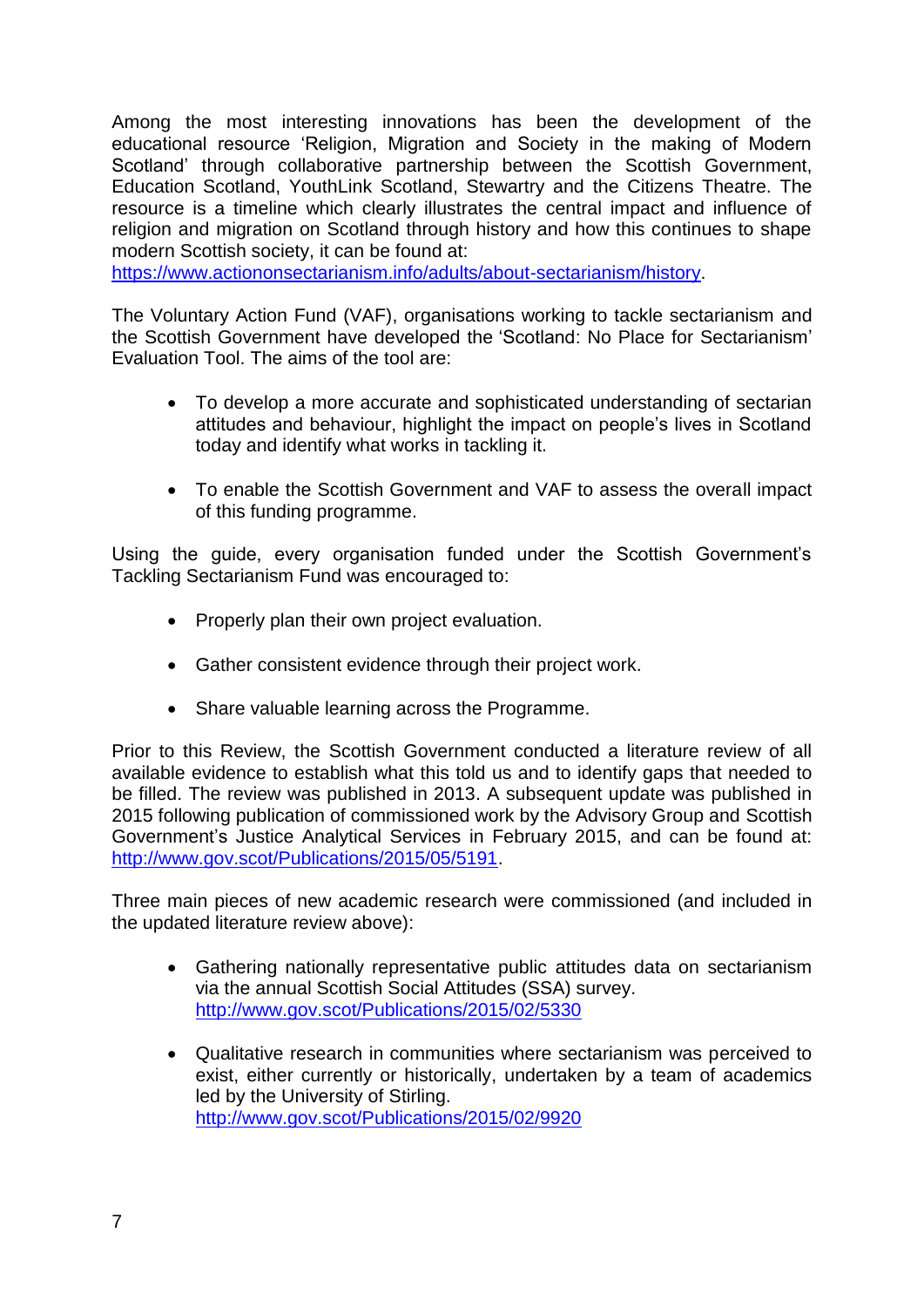Among the most interesting innovations has been the development of the educational resource 'Religion, Migration and Society in the making of Modern Scotland' through collaborative partnership between the Scottish Government, Education Scotland, YouthLink Scotland, Stewartry and the Citizens Theatre. The resource is a timeline which clearly illustrates the central impact and influence of religion and migration on Scotland through history and how this continues to shape modern Scottish society, it can be found at:

[https://www.actiononsectarianism.info/adults/about-sectarianism/history.](https://www.actiononsectarianism.info/adults/about-sectarianism/history)

The Voluntary Action Fund (VAF), organisations working to tackle sectarianism and the Scottish Government have developed the 'Scotland: No Place for Sectarianism' Evaluation Tool. The aims of the tool are:

- To develop a more accurate and sophisticated understanding of sectarian attitudes and behaviour, highlight the impact on people's lives in Scotland today and identify what works in tackling it.
- To enable the Scottish Government and VAF to assess the overall impact of this funding programme.

Using the guide, every organisation funded under the Scottish Government's Tackling Sectarianism Fund was encouraged to:

- Properly plan their own project evaluation.
- Gather consistent evidence through their project work.
- Share valuable learning across the Programme.

Prior to this Review, the Scottish Government conducted a literature review of all available evidence to establish what this told us and to identify gaps that needed to be filled. The review was published in 2013. A subsequent update was published in 2015 following publication of commissioned work by the Advisory Group and Scottish Government's Justice Analytical Services in February 2015, and can be found at: [http://www.gov.scot/Publications/2015/05/5191.](http://www.gov.scot/Publications/2015/05/5191)

Three main pieces of new academic research were commissioned (and included in the updated literature review above):

- Gathering nationally representative public attitudes data on sectarianism via the annual Scottish Social Attitudes (SSA) survey. <http://www.gov.scot/Publications/2015/02/5330>
- Qualitative research in communities where sectarianism was perceived to exist, either currently or historically, undertaken by a team of academics led by the University of Stirling. <http://www.gov.scot/Publications/2015/02/9920>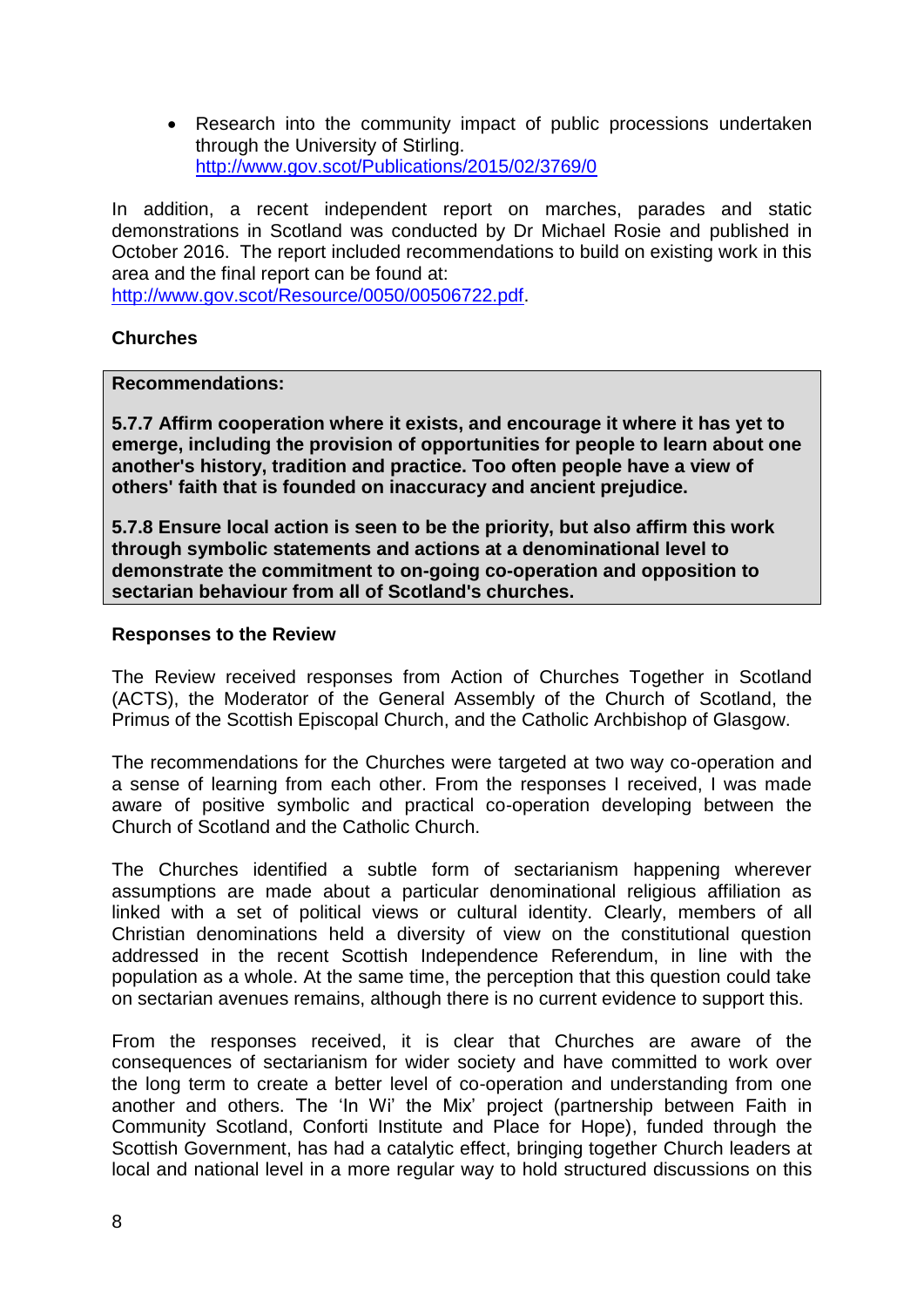• Research into the community impact of public processions undertaken through the University of Stirling. <http://www.gov.scot/Publications/2015/02/3769/0>

In addition, a recent independent report on marches, parades and static demonstrations in Scotland was conducted by Dr Michael Rosie and published in October 2016. The report included recommendations to build on existing work in this area and the final report can be found at: [http://www.gov.scot/Resource/0050/00506722.pdf.](http://www.gov.scot/Resource/0050/00506722.pdf)

#### **Churches**

#### **Recommendations:**

**5.7.7 Affirm cooperation where it exists, and encourage it where it has yet to emerge, including the provision of opportunities for people to learn about one another's history, tradition and practice. Too often people have a view of others' faith that is founded on inaccuracy and ancient prejudice.** 

**5.7.8 Ensure local action is seen to be the priority, but also affirm this work through symbolic statements and actions at a denominational level to demonstrate the commitment to on-going co-operation and opposition to sectarian behaviour from all of Scotland's churches.** 

#### **Responses to the Review**

The Review received responses from Action of Churches Together in Scotland (ACTS), the Moderator of the General Assembly of the Church of Scotland, the Primus of the Scottish Episcopal Church, and the Catholic Archbishop of Glasgow.

The recommendations for the Churches were targeted at two way co-operation and a sense of learning from each other. From the responses I received, I was made aware of positive symbolic and practical co-operation developing between the Church of Scotland and the Catholic Church.

The Churches identified a subtle form of sectarianism happening wherever assumptions are made about a particular denominational religious affiliation as linked with a set of political views or cultural identity. Clearly, members of all Christian denominations held a diversity of view on the constitutional question addressed in the recent Scottish Independence Referendum, in line with the population as a whole. At the same time, the perception that this question could take on sectarian avenues remains, although there is no current evidence to support this.

From the responses received, it is clear that Churches are aware of the consequences of sectarianism for wider society and have committed to work over the long term to create a better level of co-operation and understanding from one another and others. The 'In Wi' the Mix' project (partnership between Faith in Community Scotland, Conforti Institute and Place for Hope), funded through the Scottish Government, has had a catalytic effect, bringing together Church leaders at local and national level in a more regular way to hold structured discussions on this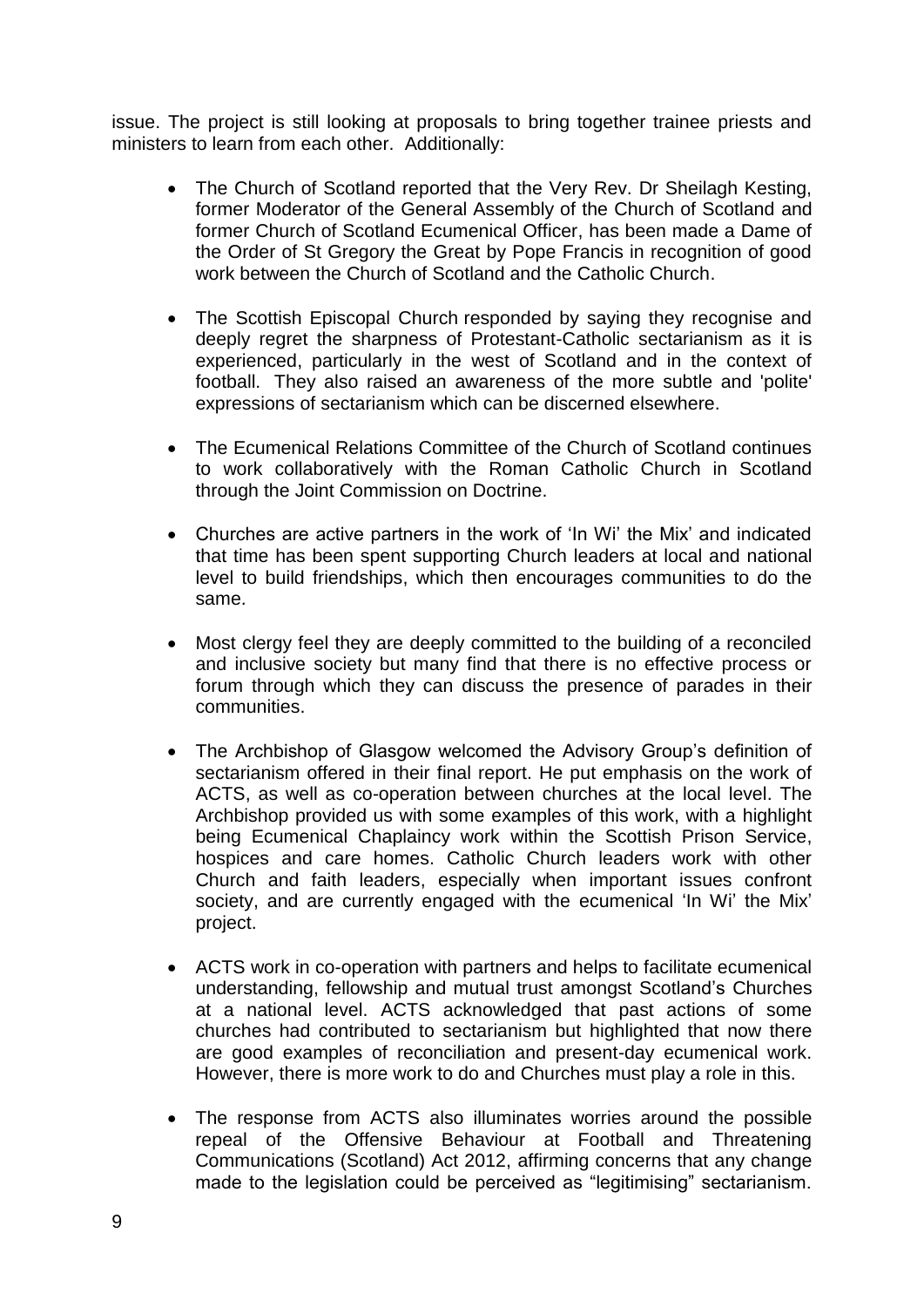issue. The project is still looking at proposals to bring together trainee priests and ministers to learn from each other. Additionally:

- The Church of Scotland reported that the Very Rev. Dr Sheilagh Kesting, former Moderator of the General Assembly of the Church of Scotland and former Church of Scotland Ecumenical Officer, has been made a Dame of the Order of St Gregory the Great by Pope Francis in recognition of good work between the Church of Scotland and the Catholic Church.
- The Scottish Episcopal Church responded by saying they recognise and deeply regret the sharpness of Protestant-Catholic sectarianism as it is experienced, particularly in the west of Scotland and in the context of football. They also raised an awareness of the more subtle and 'polite' expressions of sectarianism which can be discerned elsewhere.
- The Ecumenical Relations Committee of the Church of Scotland continues to work collaboratively with the Roman Catholic Church in Scotland through the Joint Commission on Doctrine.
- Churches are active partners in the work of 'In Wi' the Mix' and indicated that time has been spent supporting Church leaders at local and national level to build friendships, which then encourages communities to do the same.
- Most clergy feel they are deeply committed to the building of a reconciled and inclusive society but many find that there is no effective process or forum through which they can discuss the presence of parades in their communities.
- The Archbishop of Glasgow welcomed the Advisory Group's definition of sectarianism offered in their final report. He put emphasis on the work of ACTS, as well as co-operation between churches at the local level. The Archbishop provided us with some examples of this work, with a highlight being Ecumenical Chaplaincy work within the Scottish Prison Service, hospices and care homes. Catholic Church leaders work with other Church and faith leaders, especially when important issues confront society, and are currently engaged with the ecumenical 'In Wi' the Mix' project.
- ACTS work in co-operation with partners and helps to facilitate ecumenical understanding, fellowship and mutual trust amongst Scotland's Churches at a national level. ACTS acknowledged that past actions of some churches had contributed to sectarianism but highlighted that now there are good examples of reconciliation and present-day ecumenical work. However, there is more work to do and Churches must play a role in this.
- The response from ACTS also illuminates worries around the possible repeal of the Offensive Behaviour at Football and Threatening Communications (Scotland) Act 2012, affirming concerns that any change made to the legislation could be perceived as "legitimising" sectarianism.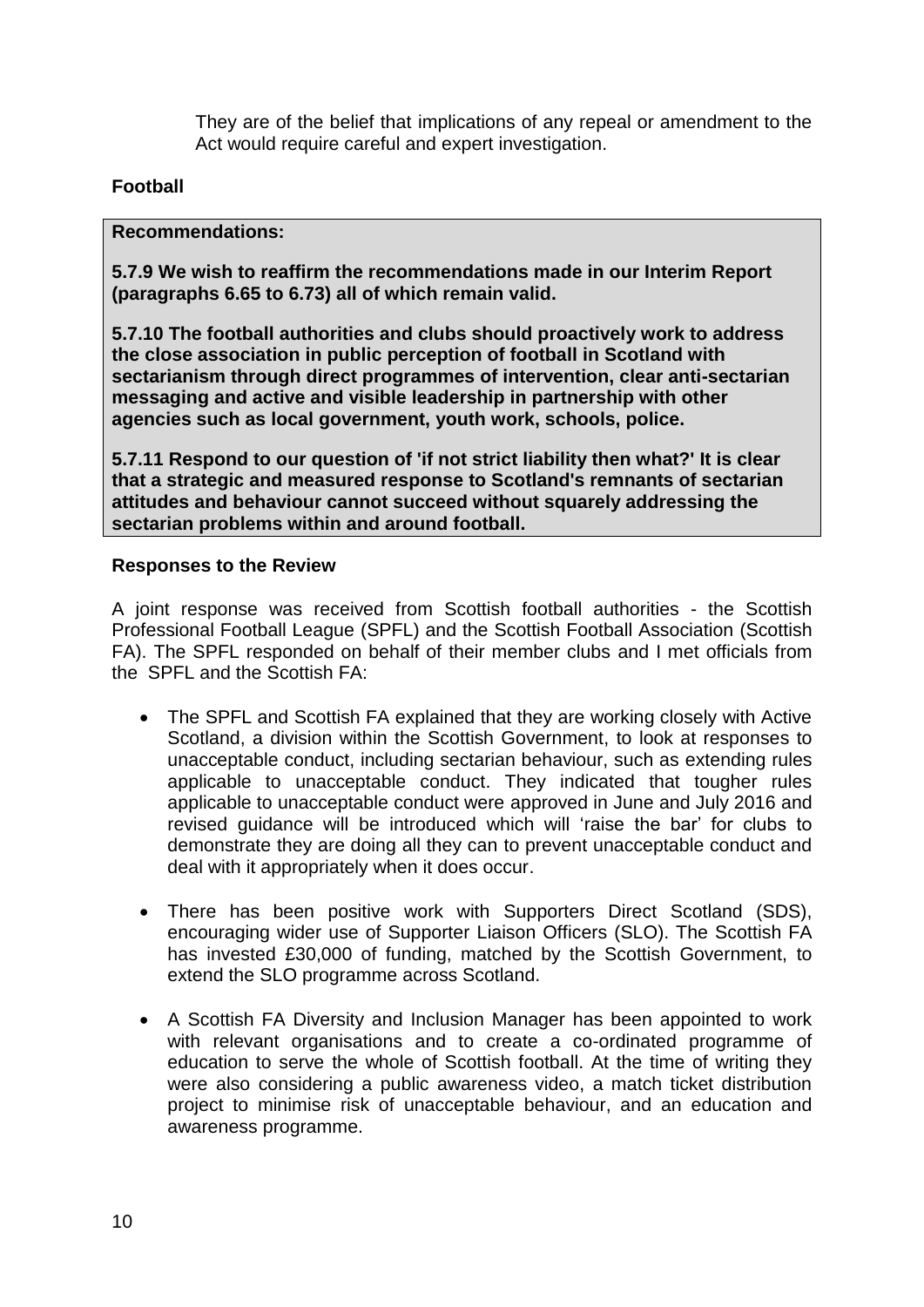They are of the belief that implications of any repeal or amendment to the Act would require careful and expert investigation.

# **Football**

#### **Recommendations:**

**5.7.9 We wish to reaffirm the recommendations made in our Interim Report (paragraphs 6.65 to 6.73) all of which remain valid.** 

**5.7.10 The football authorities and clubs should proactively work to address the close association in public perception of football in Scotland with sectarianism through direct programmes of intervention, clear anti-sectarian messaging and active and visible leadership in partnership with other agencies such as local government, youth work, schools, police.** 

**5.7.11 Respond to our question of 'if not strict liability then what?' It is clear that a strategic and measured response to Scotland's remnants of sectarian attitudes and behaviour cannot succeed without squarely addressing the sectarian problems within and around football.** 

### **Responses to the Review**

A joint response was received from Scottish football authorities - the Scottish Professional Football League (SPFL) and the Scottish Football Association (Scottish FA). The SPFL responded on behalf of their member clubs and I met officials from the SPFL and the Scottish FA:

- The SPFL and Scottish FA explained that they are working closely with Active Scotland, a division within the Scottish Government, to look at responses to unacceptable conduct, including sectarian behaviour, such as extending rules applicable to unacceptable conduct. They indicated that tougher rules applicable to unacceptable conduct were approved in June and July 2016 and revised guidance will be introduced which will 'raise the bar' for clubs to demonstrate they are doing all they can to prevent unacceptable conduct and deal with it appropriately when it does occur.
- There has been positive work with Supporters Direct Scotland (SDS), encouraging wider use of Supporter Liaison Officers (SLO). The Scottish FA has invested £30,000 of funding, matched by the Scottish Government, to extend the SLO programme across Scotland.
- A Scottish FA Diversity and Inclusion Manager has been appointed to work with relevant organisations and to create a co-ordinated programme of education to serve the whole of Scottish football. At the time of writing they were also considering a public awareness video, a match ticket distribution project to minimise risk of unacceptable behaviour, and an education and awareness programme.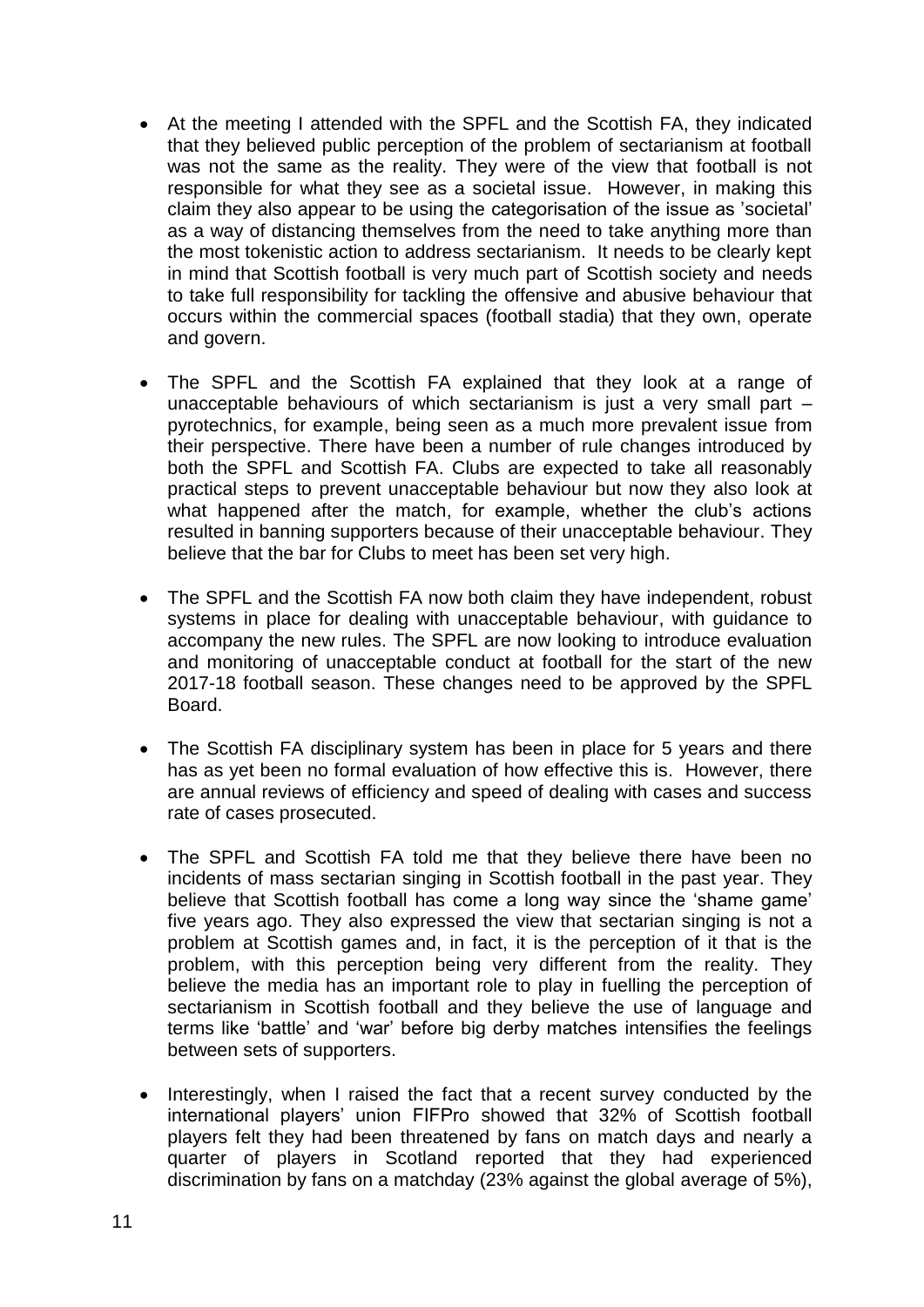- At the meeting I attended with the SPFL and the Scottish FA, they indicated that they believed public perception of the problem of sectarianism at football was not the same as the reality. They were of the view that football is not responsible for what they see as a societal issue. However, in making this claim they also appear to be using the categorisation of the issue as 'societal' as a way of distancing themselves from the need to take anything more than the most tokenistic action to address sectarianism. It needs to be clearly kept in mind that Scottish football is very much part of Scottish society and needs to take full responsibility for tackling the offensive and abusive behaviour that occurs within the commercial spaces (football stadia) that they own, operate and govern.
- The SPFL and the Scottish FA explained that they look at a range of unacceptable behaviours of which sectarianism is just a very small part – pyrotechnics, for example, being seen as a much more prevalent issue from their perspective. There have been a number of rule changes introduced by both the SPFL and Scottish FA. Clubs are expected to take all reasonably practical steps to prevent unacceptable behaviour but now they also look at what happened after the match, for example, whether the club's actions resulted in banning supporters because of their unacceptable behaviour. They believe that the bar for Clubs to meet has been set very high.
- The SPFL and the Scottish FA now both claim they have independent, robust systems in place for dealing with unacceptable behaviour, with guidance to accompany the new rules. The SPFL are now looking to introduce evaluation and monitoring of unacceptable conduct at football for the start of the new 2017-18 football season. These changes need to be approved by the SPFL Board.
- The Scottish FA disciplinary system has been in place for 5 years and there has as yet been no formal evaluation of how effective this is. However, there are annual reviews of efficiency and speed of dealing with cases and success rate of cases prosecuted.
- The SPFL and Scottish FA told me that they believe there have been no incidents of mass sectarian singing in Scottish football in the past year. They believe that Scottish football has come a long way since the 'shame game' five years ago. They also expressed the view that sectarian singing is not a problem at Scottish games and, in fact, it is the perception of it that is the problem, with this perception being very different from the reality. They believe the media has an important role to play in fuelling the perception of sectarianism in Scottish football and they believe the use of language and terms like 'battle' and 'war' before big derby matches intensifies the feelings between sets of supporters.
- Interestingly, when I raised the fact that a recent survey conducted by the international players' union FIFPro showed that 32% of Scottish football players felt they had been threatened by fans on match days and nearly a quarter of players in Scotland reported that they had experienced discrimination by fans on a matchday (23% against the global average of 5%),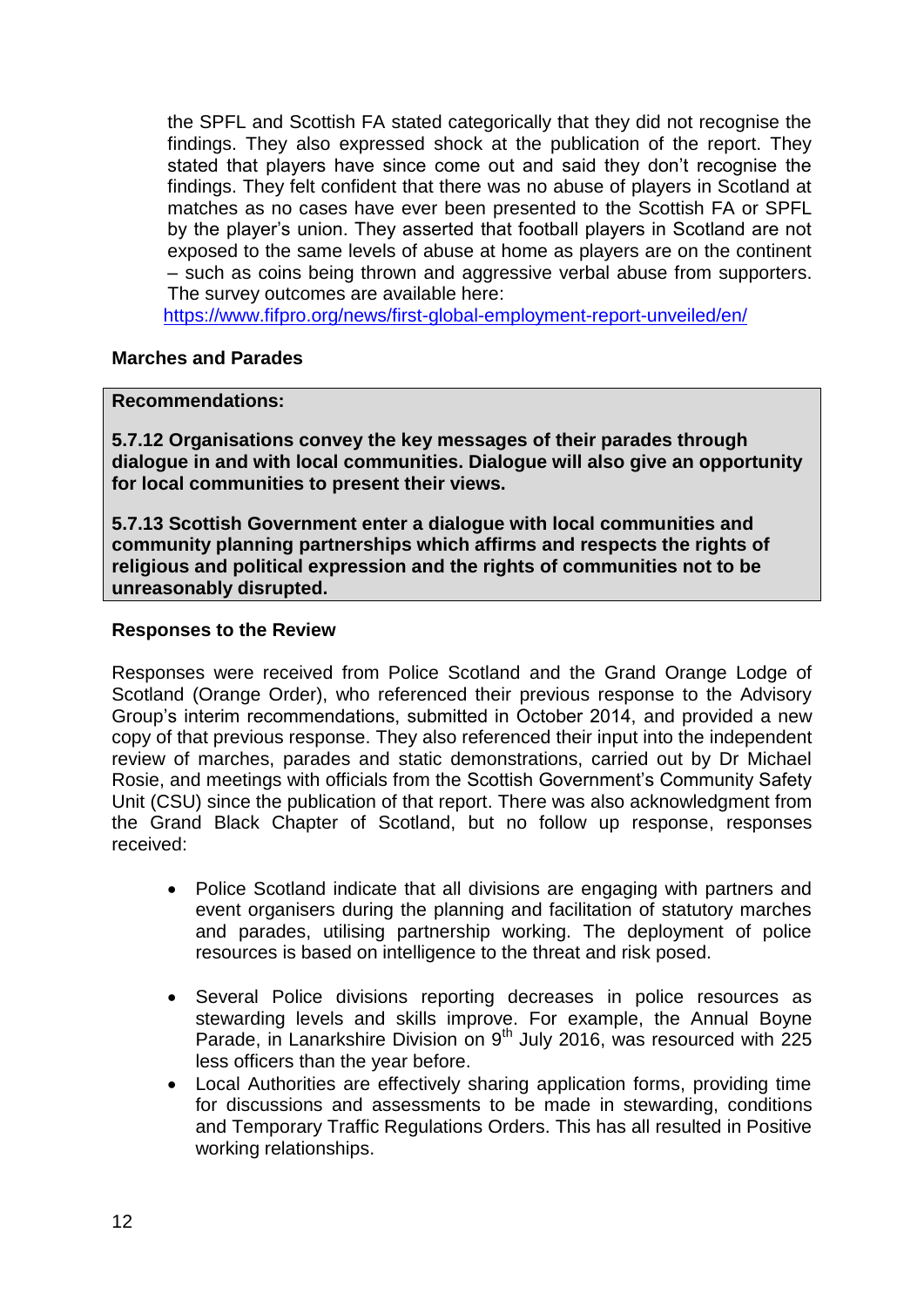the SPFL and Scottish FA stated categorically that they did not recognise the findings. They also expressed shock at the publication of the report. They stated that players have since come out and said they don't recognise the findings. They felt confident that there was no abuse of players in Scotland at matches as no cases have ever been presented to the Scottish FA or SPFL by the player's union. They asserted that football players in Scotland are not exposed to the same levels of abuse at home as players are on the continent – such as coins being thrown and aggressive verbal abuse from supporters. The survey outcomes are available here:

<https://www.fifpro.org/news/first-global-employment-report-unveiled/en/>

#### **Marches and Parades**

#### **Recommendations:**

**5.7.12 Organisations convey the key messages of their parades through dialogue in and with local communities. Dialogue will also give an opportunity for local communities to present their views.** 

**5.7.13 Scottish Government enter a dialogue with local communities and community planning partnerships which affirms and respects the rights of religious and political expression and the rights of communities not to be unreasonably disrupted.** 

#### **Responses to the Review**

Responses were received from Police Scotland and the Grand Orange Lodge of Scotland (Orange Order), who referenced their previous response to the Advisory Group's interim recommendations, submitted in October 2014, and provided a new copy of that previous response. They also referenced their input into the independent review of marches, parades and static demonstrations, carried out by Dr Michael Rosie, and meetings with officials from the Scottish Government's Community Safety Unit (CSU) since the publication of that report. There was also acknowledgment from the Grand Black Chapter of Scotland, but no follow up response, responses received:

- Police Scotland indicate that all divisions are engaging with partners and event organisers during the planning and facilitation of statutory marches and parades, utilising partnership working. The deployment of police resources is based on intelligence to the threat and risk posed.
- Several Police divisions reporting decreases in police resources as stewarding levels and skills improve. For example, the Annual Boyne Parade, in Lanarkshire Division on  $9<sup>th</sup>$  July 2016, was resourced with 225 less officers than the year before.
- Local Authorities are effectively sharing application forms, providing time for discussions and assessments to be made in stewarding, conditions and Temporary Traffic Regulations Orders. This has all resulted in Positive working relationships.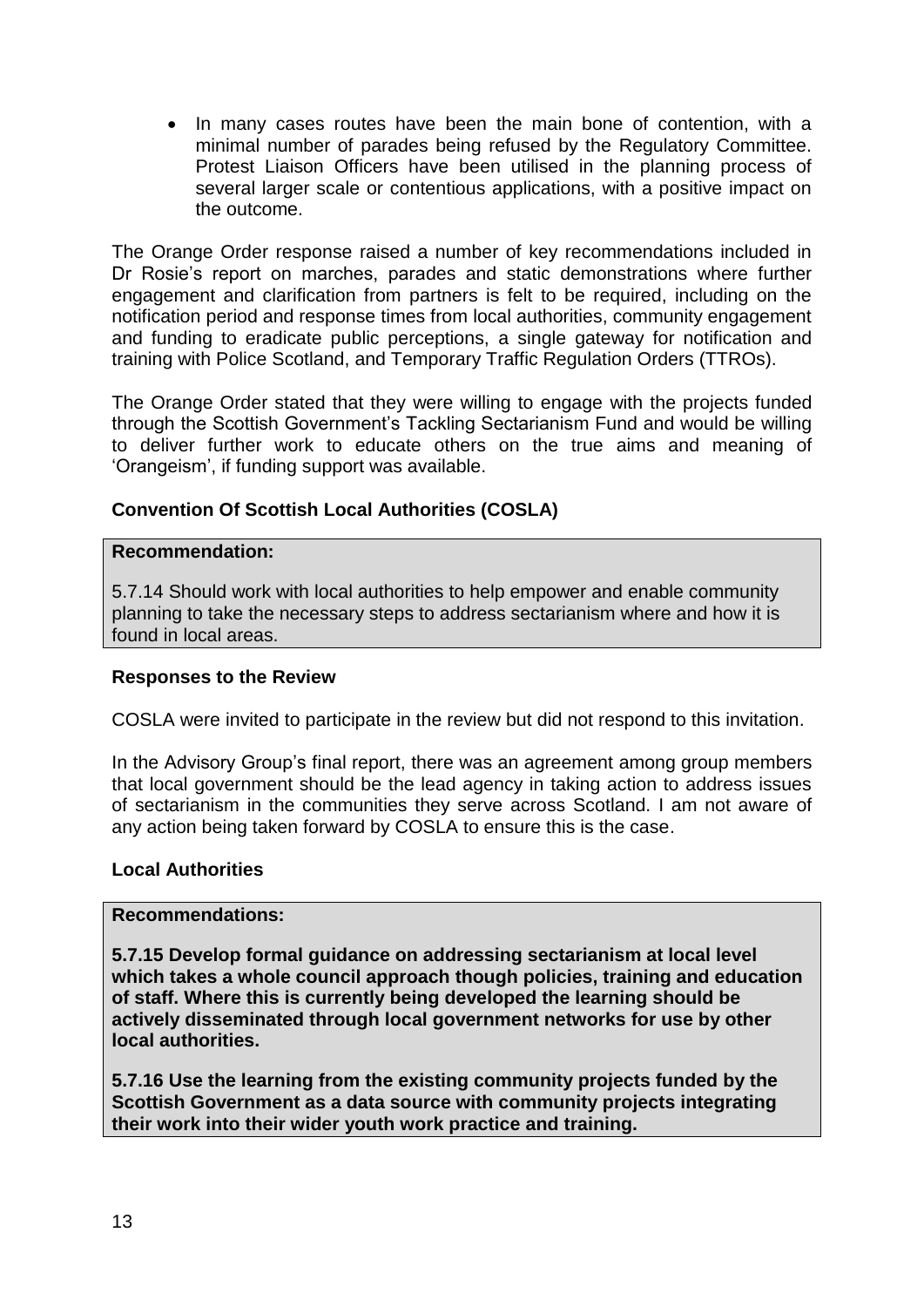• In many cases routes have been the main bone of contention, with a minimal number of parades being refused by the Regulatory Committee. Protest Liaison Officers have been utilised in the planning process of several larger scale or contentious applications, with a positive impact on the outcome.

The Orange Order response raised a number of key recommendations included in Dr Rosie's report on marches, parades and static demonstrations where further engagement and clarification from partners is felt to be required, including on the notification period and response times from local authorities, community engagement and funding to eradicate public perceptions, a single gateway for notification and training with Police Scotland, and Temporary Traffic Regulation Orders (TTROs).

The Orange Order stated that they were willing to engage with the projects funded through the Scottish Government's Tackling Sectarianism Fund and would be willing to deliver further work to educate others on the true aims and meaning of 'Orangeism', if funding support was available.

# **Convention Of Scottish Local Authorities (COSLA)**

#### **Recommendation:**

5.7.14 Should work with local authorities to help empower and enable community planning to take the necessary steps to address sectarianism where and how it is found in local areas.

#### **Responses to the Review**

COSLA were invited to participate in the review but did not respond to this invitation.

In the Advisory Group's final report, there was an agreement among group members that local government should be the lead agency in taking action to address issues of sectarianism in the communities they serve across Scotland. I am not aware of any action being taken forward by COSLA to ensure this is the case.

#### **Local Authorities**

#### **Recommendations:**

**5.7.15 Develop formal guidance on addressing sectarianism at local level which takes a whole council approach though policies, training and education of staff. Where this is currently being developed the learning should be actively disseminated through local government networks for use by other local authorities.** 

**5.7.16 Use the learning from the existing community projects funded by the Scottish Government as a data source with community projects integrating their work into their wider youth work practice and training.**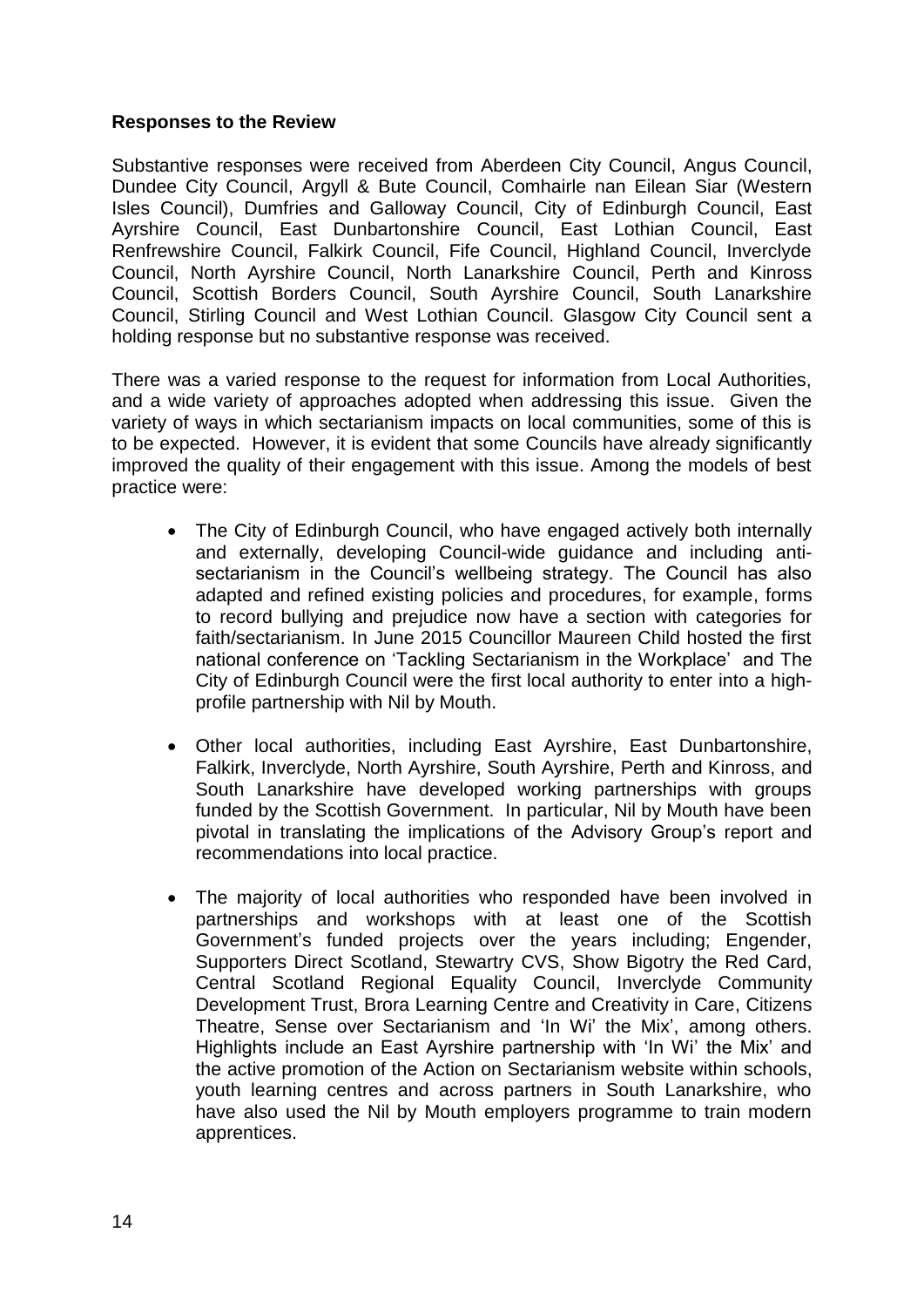#### **Responses to the Review**

Substantive responses were received from Aberdeen City Council, Angus Council, Dundee City Council, Argyll & Bute Council, Comhairle nan Eilean Siar (Western Isles Council), Dumfries and Galloway Council, City of Edinburgh Council, East Ayrshire Council, East Dunbartonshire Council, East Lothian Council, East Renfrewshire Council, Falkirk Council, Fife Council, Highland Council, Inverclyde Council, North Ayrshire Council, North Lanarkshire Council, Perth and Kinross Council, Scottish Borders Council, South Ayrshire Council, South Lanarkshire Council, Stirling Council and West Lothian Council. Glasgow City Council sent a holding response but no substantive response was received.

There was a varied response to the request for information from Local Authorities, and a wide variety of approaches adopted when addressing this issue. Given the variety of ways in which sectarianism impacts on local communities, some of this is to be expected. However, it is evident that some Councils have already significantly improved the quality of their engagement with this issue. Among the models of best practice were:

- The City of Edinburgh Council, who have engaged actively both internally and externally, developing Council-wide guidance and including antisectarianism in the Council's wellbeing strategy. The Council has also adapted and refined existing policies and procedures, for example, forms to record bullying and prejudice now have a section with categories for faith/sectarianism. In June 2015 Councillor Maureen Child hosted the first national conference on 'Tackling Sectarianism in the Workplace' and The City of Edinburgh Council were the first local authority to enter into a highprofile partnership with Nil by Mouth.
- Other local authorities, including East Ayrshire, East Dunbartonshire, Falkirk, Inverclyde, North Ayrshire, South Ayrshire, Perth and Kinross, and South Lanarkshire have developed working partnerships with groups funded by the Scottish Government. In particular, Nil by Mouth have been pivotal in translating the implications of the Advisory Group's report and recommendations into local practice.
- The majority of local authorities who responded have been involved in partnerships and workshops with at least one of the Scottish Government's funded projects over the years including; Engender, Supporters Direct Scotland, Stewartry CVS, Show Bigotry the Red Card, Central Scotland Regional Equality Council, Inverclyde Community Development Trust, Brora Learning Centre and Creativity in Care, Citizens Theatre, Sense over Sectarianism and 'In Wi' the Mix', among others. Highlights include an East Ayrshire partnership with 'In Wi' the Mix' and the active promotion of the Action on Sectarianism website within schools, youth learning centres and across partners in South Lanarkshire, who have also used the Nil by Mouth employers programme to train modern apprentices.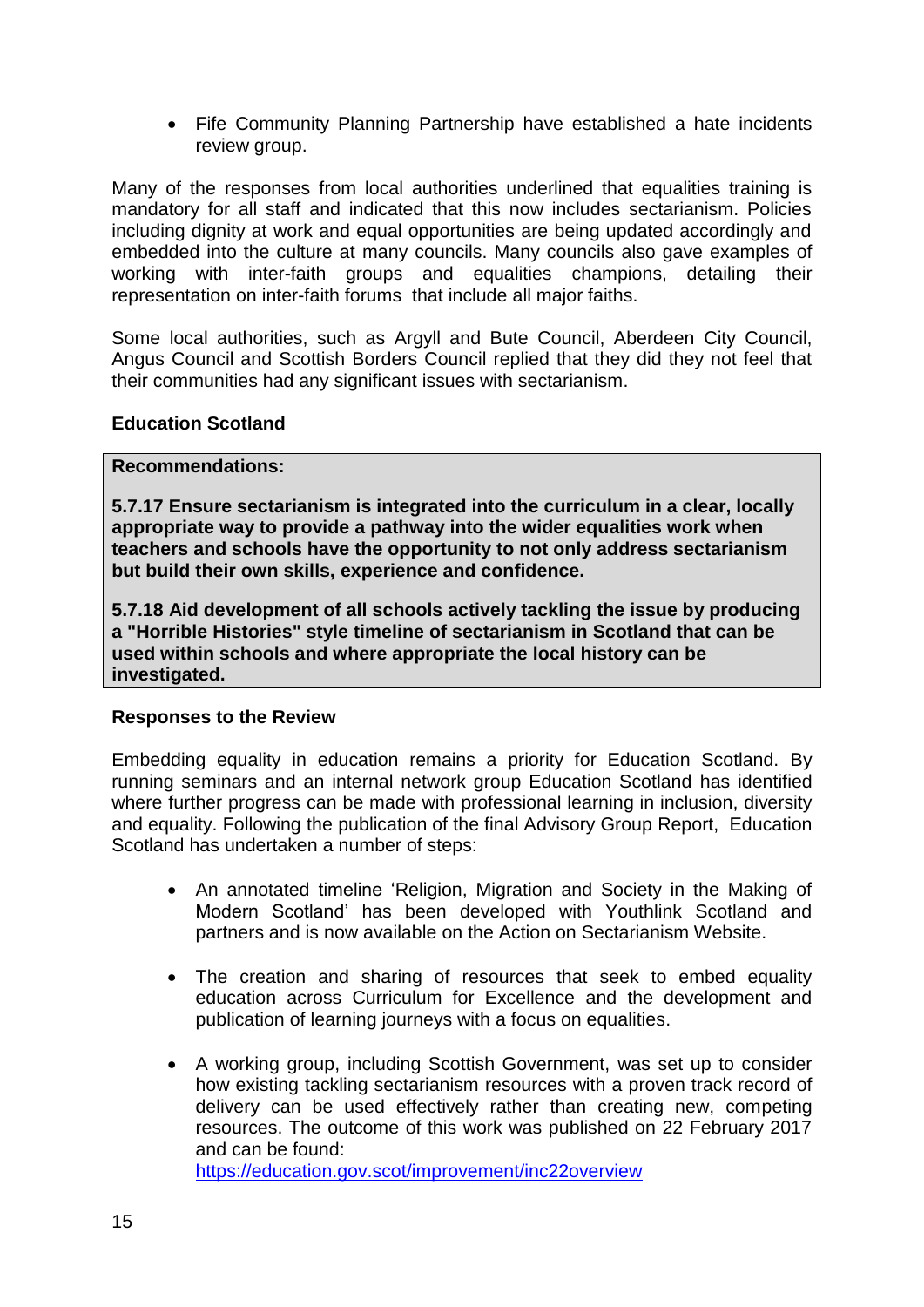• Fife Community Planning Partnership have established a hate incidents review group.

Many of the responses from local authorities underlined that equalities training is mandatory for all staff and indicated that this now includes sectarianism. Policies including dignity at work and equal opportunities are being updated accordingly and embedded into the culture at many councils. Many councils also gave examples of working with inter-faith groups and equalities champions, detailing their representation on inter-faith forums that include all major faiths.

Some local authorities, such as Argyll and Bute Council, Aberdeen City Council, Angus Council and Scottish Borders Council replied that they did they not feel that their communities had any significant issues with sectarianism.

#### **Education Scotland**

#### **Recommendations:**

**5.7.17 Ensure sectarianism is integrated into the curriculum in a clear, locally appropriate way to provide a pathway into the wider equalities work when teachers and schools have the opportunity to not only address sectarianism but build their own skills, experience and confidence.** 

**5.7.18 Aid development of all schools actively tackling the issue by producing a "Horrible Histories" style timeline of sectarianism in Scotland that can be used within schools and where appropriate the local history can be investigated.** 

#### **Responses to the Review**

Embedding equality in education remains a priority for Education Scotland. By running seminars and an internal network group Education Scotland has identified where further progress can be made with professional learning in inclusion, diversity and equality. Following the publication of the final Advisory Group Report, Education Scotland has undertaken a number of steps:

- An annotated timeline 'Religion, Migration and Society in the Making of Modern Scotland' has been developed with Youthlink Scotland and partners and is now available on the Action on Sectarianism Website.
- The creation and sharing of resources that seek to embed equality education across Curriculum for Excellence and the development and publication of learning journeys with a focus on equalities.
- A working group, including Scottish Government, was set up to consider how existing tackling sectarianism resources with a proven track record of delivery can be used effectively rather than creating new, competing resources. The outcome of this work was published on 22 February 2017 and can be found:

<https://education.gov.scot/improvement/inc22overview>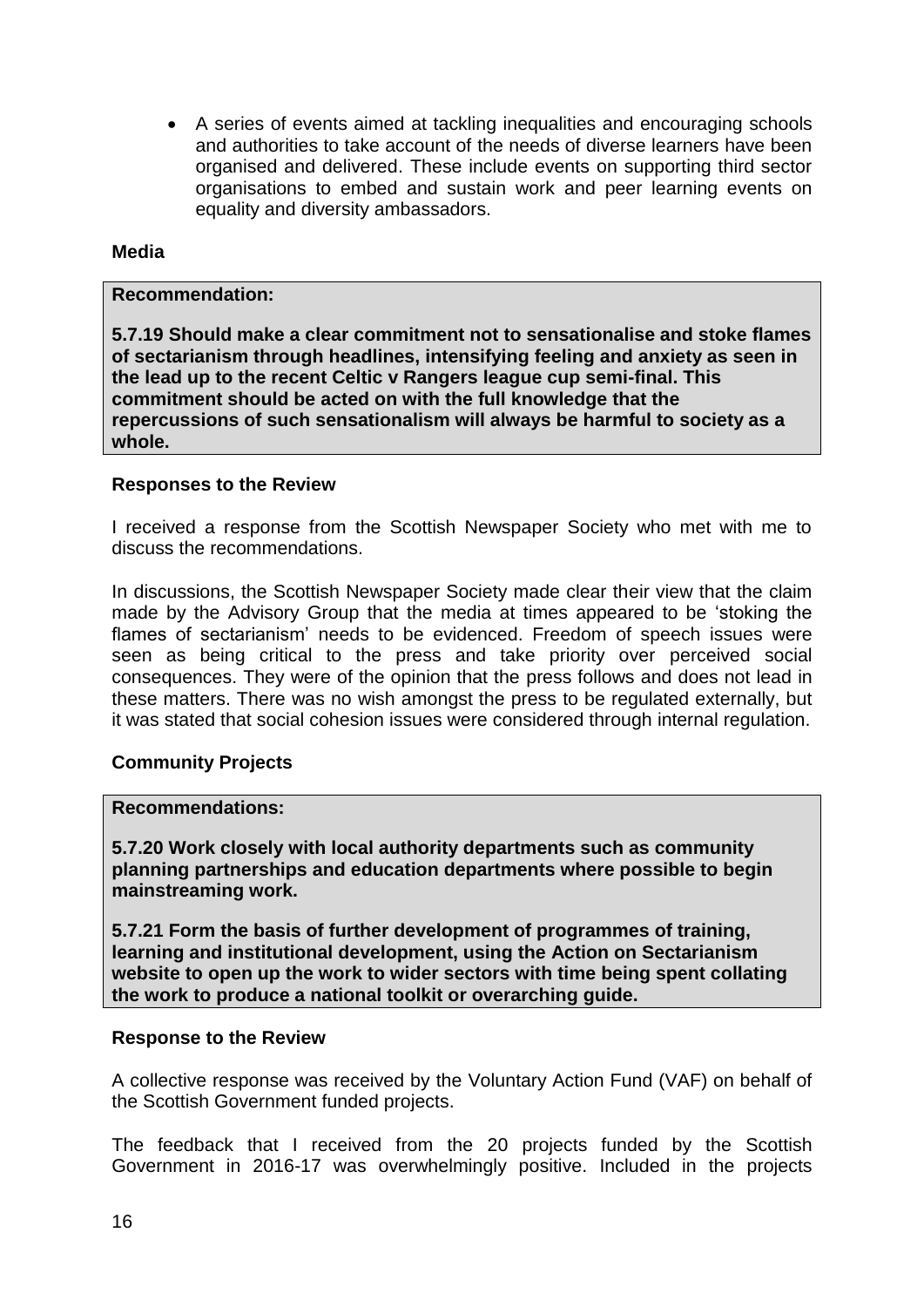A series of events aimed at tackling inequalities and encouraging schools and authorities to take account of the needs of diverse learners have been organised and delivered. These include events on supporting third sector organisations to embed and sustain work and peer learning events on equality and diversity ambassadors.

#### **Media**

#### **Recommendation:**

**5.7.19 Should make a clear commitment not to sensationalise and stoke flames of sectarianism through headlines, intensifying feeling and anxiety as seen in the lead up to the recent Celtic v Rangers league cup semi-final. This commitment should be acted on with the full knowledge that the repercussions of such sensationalism will always be harmful to society as a whole.** 

#### **Responses to the Review**

I received a response from the Scottish Newspaper Society who met with me to discuss the recommendations.

In discussions, the Scottish Newspaper Society made clear their view that the claim made by the Advisory Group that the media at times appeared to be 'stoking the flames of sectarianism' needs to be evidenced. Freedom of speech issues were seen as being critical to the press and take priority over perceived social consequences. They were of the opinion that the press follows and does not lead in these matters. There was no wish amongst the press to be regulated externally, but it was stated that social cohesion issues were considered through internal regulation.

#### **Community Projects**

#### **Recommendations:**

**5.7.20 Work closely with local authority departments such as community planning partnerships and education departments where possible to begin mainstreaming work.** 

**5.7.21 Form the basis of further development of programmes of training, learning and institutional development, using the Action on Sectarianism website to open up the work to wider sectors with time being spent collating the work to produce a national toolkit or overarching guide.** 

#### **Response to the Review**

A collective response was received by the Voluntary Action Fund (VAF) on behalf of the Scottish Government funded projects.

The feedback that I received from the 20 projects funded by the Scottish Government in 2016-17 was overwhelmingly positive. Included in the projects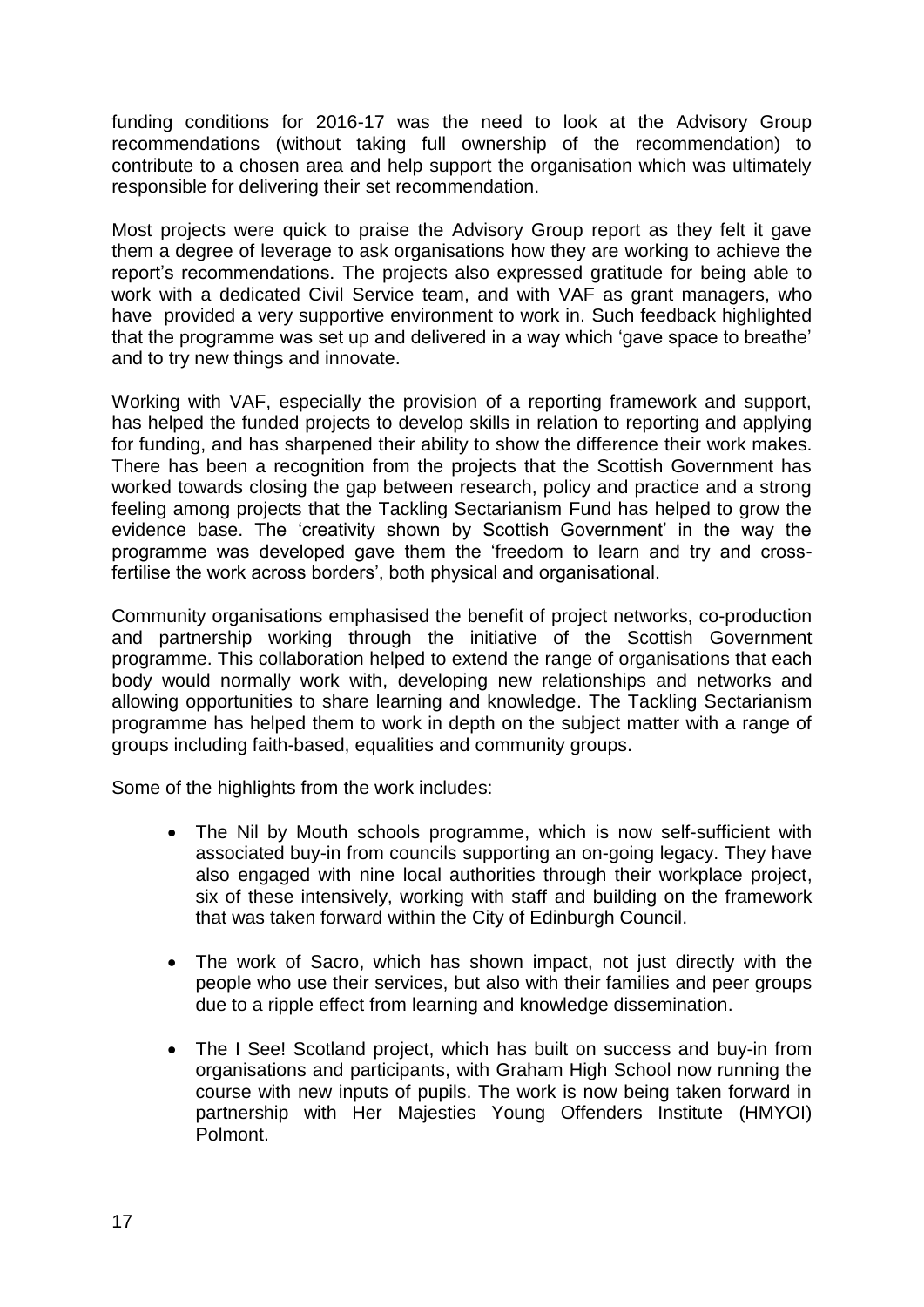funding conditions for 2016-17 was the need to look at the Advisory Group recommendations (without taking full ownership of the recommendation) to contribute to a chosen area and help support the organisation which was ultimately responsible for delivering their set recommendation.

Most projects were quick to praise the Advisory Group report as they felt it gave them a degree of leverage to ask organisations how they are working to achieve the report's recommendations. The projects also expressed gratitude for being able to work with a dedicated Civil Service team, and with VAF as grant managers, who have provided a very supportive environment to work in. Such feedback highlighted that the programme was set up and delivered in a way which 'gave space to breathe' and to try new things and innovate.

Working with VAF, especially the provision of a reporting framework and support, has helped the funded projects to develop skills in relation to reporting and applying for funding, and has sharpened their ability to show the difference their work makes. There has been a recognition from the projects that the Scottish Government has worked towards closing the gap between research, policy and practice and a strong feeling among projects that the Tackling Sectarianism Fund has helped to grow the evidence base. The 'creativity shown by Scottish Government' in the way the programme was developed gave them the 'freedom to learn and try and crossfertilise the work across borders', both physical and organisational.

Community organisations emphasised the benefit of project networks, co-production and partnership working through the initiative of the Scottish Government programme. This collaboration helped to extend the range of organisations that each body would normally work with, developing new relationships and networks and allowing opportunities to share learning and knowledge. The Tackling Sectarianism programme has helped them to work in depth on the subject matter with a range of groups including faith-based, equalities and community groups.

Some of the highlights from the work includes:

- The Nil by Mouth schools programme, which is now self-sufficient with associated buy-in from councils supporting an on-going legacy. They have also engaged with nine local authorities through their workplace project, six of these intensively, working with staff and building on the framework that was taken forward within the City of Edinburgh Council.
- The work of Sacro, which has shown impact, not just directly with the people who use their services, but also with their families and peer groups due to a ripple effect from learning and knowledge dissemination.
- The I See! Scotland project, which has built on success and buy-in from organisations and participants, with Graham High School now running the course with new inputs of pupils. The work is now being taken forward in partnership with Her Majesties Young Offenders Institute (HMYOI) Polmont.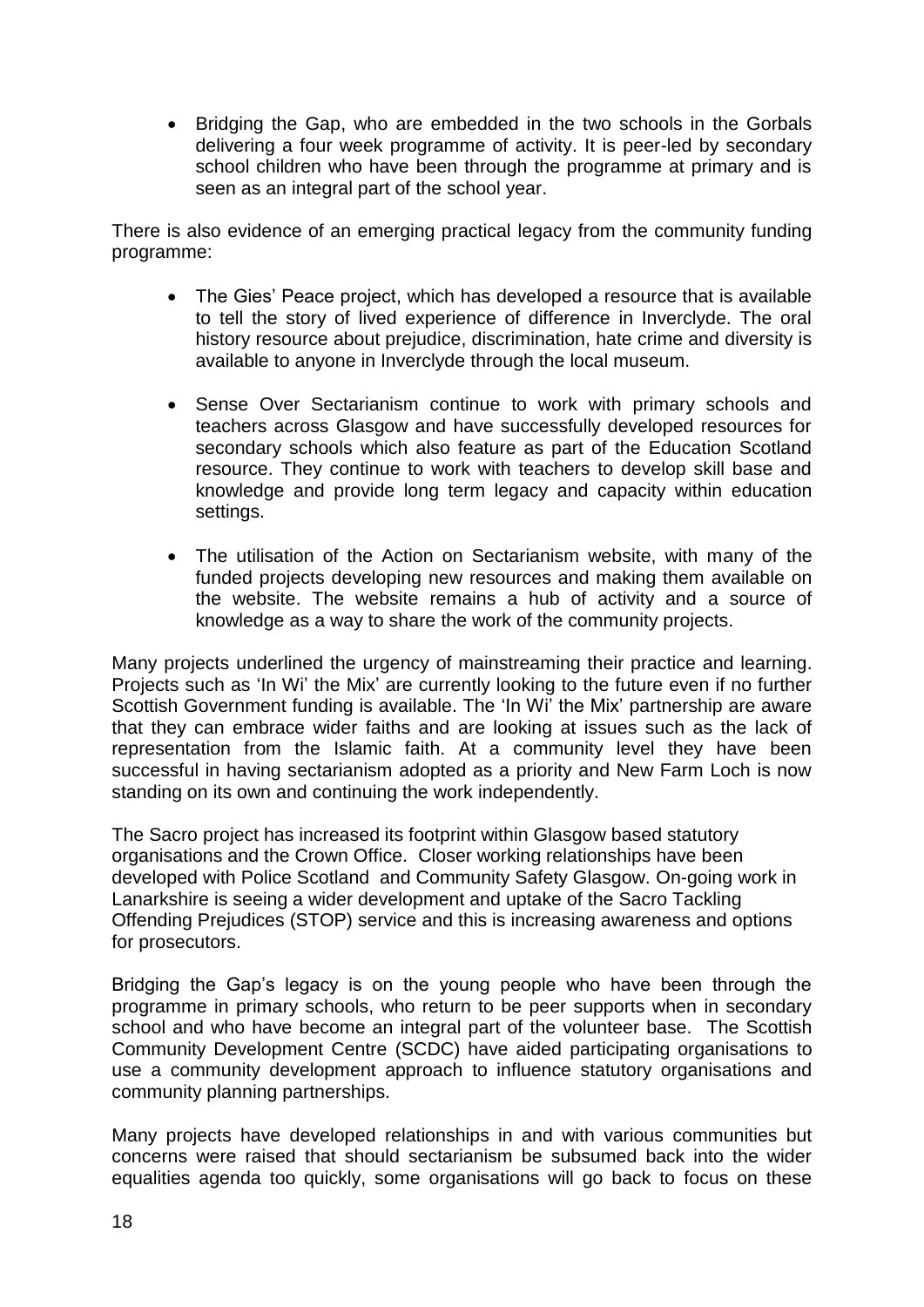• Bridging the Gap, who are embedded in the two schools in the Gorbals delivering a four week programme of activity. It is peer-led by secondary school children who have been through the programme at primary and is seen as an integral part of the school year.

There is also evidence of an emerging practical legacy from the community funding programme:

- The Gies' Peace project, which has developed a resource that is available to tell the story of lived experience of difference in Inverclyde. The oral history resource about prejudice, discrimination, hate crime and diversity is available to anyone in Inverclyde through the local museum.
- Sense Over Sectarianism continue to work with primary schools and teachers across Glasgow and have successfully developed resources for secondary schools which also feature as part of the Education Scotland resource. They continue to work with teachers to develop skill base and knowledge and provide long term legacy and capacity within education settings.
- The utilisation of the Action on Sectarianism website, with many of the funded projects developing new resources and making them available on the website. The website remains a hub of activity and a source of knowledge as a way to share the work of the community projects.

Many projects underlined the urgency of mainstreaming their practice and learning. Projects such as 'In Wi' the Mix' are currently looking to the future even if no further Scottish Government funding is available. The 'In Wi' the Mix' partnership are aware that they can embrace wider faiths and are looking at issues such as the lack of representation from the Islamic faith. At a community level they have been successful in having sectarianism adopted as a priority and New Farm Loch is now standing on its own and continuing the work independently.

The Sacro project has increased its footprint within Glasgow based statutory organisations and the Crown Office. Closer working relationships have been developed with Police Scotland and Community Safety Glasgow. On-going work in Lanarkshire is seeing a wider development and uptake of the Sacro Tackling Offending Prejudices (STOP) service and this is increasing awareness and options for prosecutors.

Bridging the Gap's legacy is on the young people who have been through the programme in primary schools, who return to be peer supports when in secondary school and who have become an integral part of the volunteer base. The Scottish Community Development Centre (SCDC) have aided participating organisations to use a community development approach to influence statutory organisations and community planning partnerships.

Many projects have developed relationships in and with various communities but concerns were raised that should sectarianism be subsumed back into the wider equalities agenda too quickly, some organisations will go back to focus on these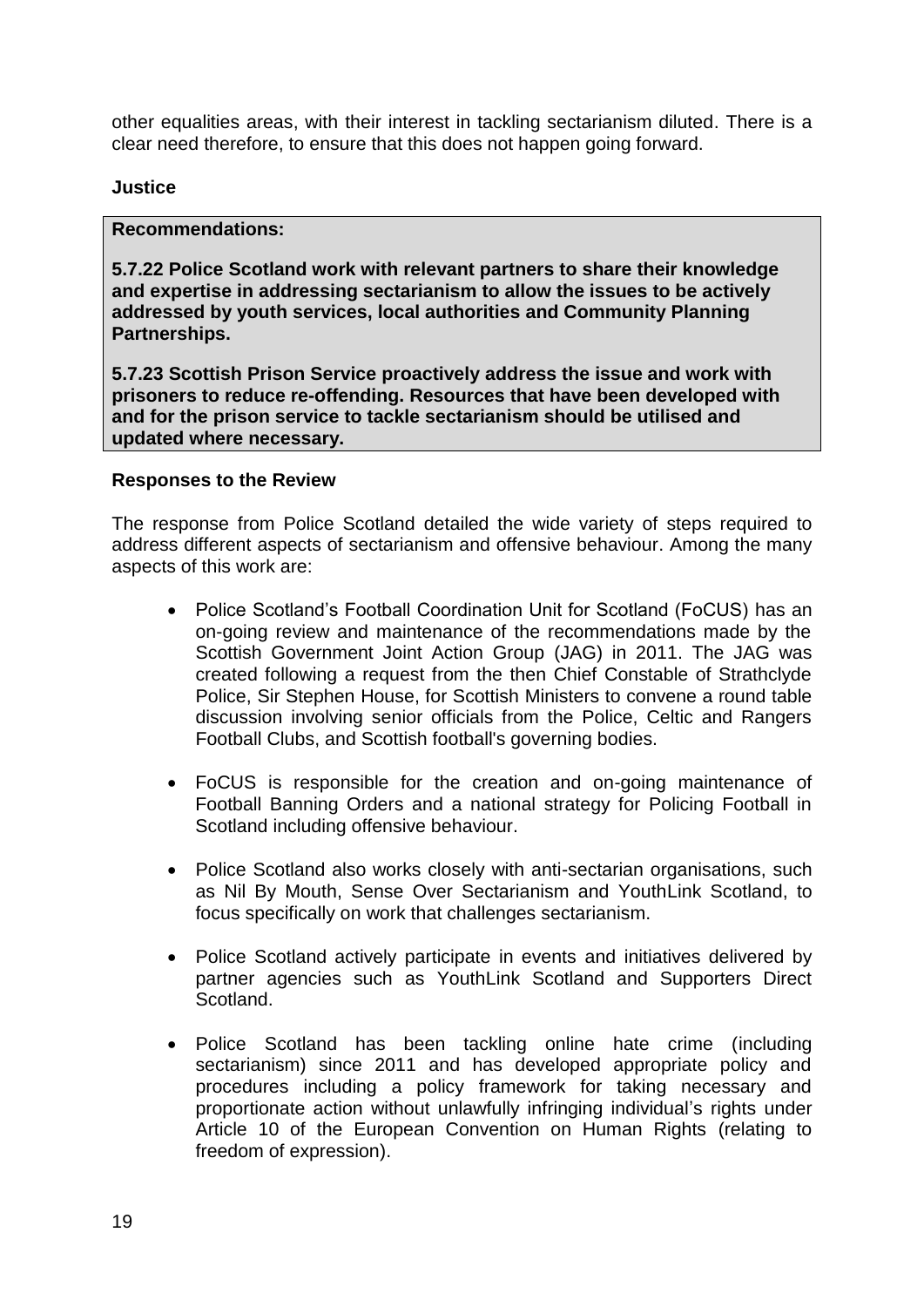other equalities areas, with their interest in tackling sectarianism diluted. There is a clear need therefore, to ensure that this does not happen going forward.

#### **Justice**

#### **Recommendations:**

**5.7.22 Police Scotland work with relevant partners to share their knowledge and expertise in addressing sectarianism to allow the issues to be actively addressed by youth services, local authorities and Community Planning Partnerships.** 

**5.7.23 Scottish Prison Service proactively address the issue and work with prisoners to reduce re-offending. Resources that have been developed with and for the prison service to tackle sectarianism should be utilised and updated where necessary.** 

#### **Responses to the Review**

The response from Police Scotland detailed the wide variety of steps required to address different aspects of sectarianism and offensive behaviour. Among the many aspects of this work are:

- Police Scotland's Football Coordination Unit for Scotland (FoCUS) has an on-going review and maintenance of the recommendations made by the Scottish Government Joint Action Group (JAG) in 2011. The JAG was created following a request from the then Chief Constable of Strathclyde Police, Sir Stephen House, for Scottish Ministers to convene a round table discussion involving senior officials from the Police, Celtic and Rangers Football Clubs, and Scottish football's governing bodies.
- FoCUS is responsible for the creation and on-going maintenance of Football Banning Orders and a national strategy for Policing Football in Scotland including offensive behaviour.
- Police Scotland also works closely with anti-sectarian organisations, such as Nil By Mouth, Sense Over Sectarianism and YouthLink Scotland, to focus specifically on work that challenges sectarianism.
- Police Scotland actively participate in events and initiatives delivered by partner agencies such as YouthLink Scotland and Supporters Direct **Scotland**
- Police Scotland has been tackling online hate crime (including sectarianism) since 2011 and has developed appropriate policy and procedures including a policy framework for taking necessary and proportionate action without unlawfully infringing individual's rights under Article 10 of the European Convention on Human Rights (relating to freedom of expression).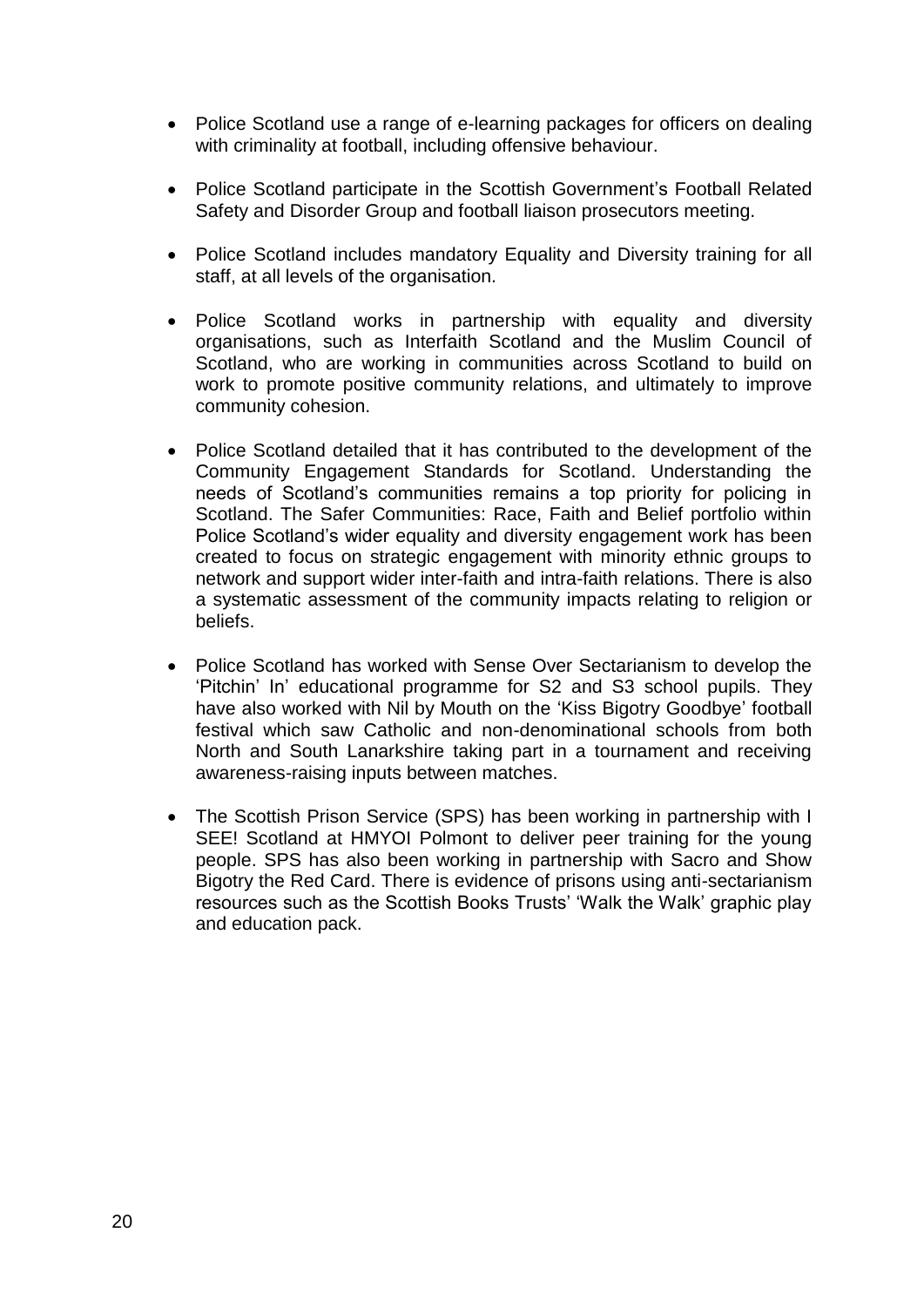- Police Scotland use a range of e-learning packages for officers on dealing with criminality at football, including offensive behaviour.
- Police Scotland participate in the Scottish Government's Football Related Safety and Disorder Group and football liaison prosecutors meeting.
- Police Scotland includes mandatory Equality and Diversity training for all staff, at all levels of the organisation.
- Police Scotland works in partnership with equality and diversity organisations, such as Interfaith Scotland and the Muslim Council of Scotland, who are working in communities across Scotland to build on work to promote positive community relations, and ultimately to improve community cohesion.
- Police Scotland detailed that it has contributed to the development of the Community Engagement Standards for Scotland. Understanding the needs of Scotland's communities remains a top priority for policing in Scotland. The Safer Communities: Race, Faith and Belief portfolio within Police Scotland's wider equality and diversity engagement work has been created to focus on strategic engagement with minority ethnic groups to network and support wider inter-faith and intra-faith relations. There is also a systematic assessment of the community impacts relating to religion or beliefs.
- Police Scotland has worked with Sense Over Sectarianism to develop the 'Pitchin' In' educational programme for S2 and S3 school pupils. They have also worked with Nil by Mouth on the 'Kiss Bigotry Goodbye' football festival which saw Catholic and non-denominational schools from both North and South Lanarkshire taking part in a tournament and receiving awareness-raising inputs between matches.
- The Scottish Prison Service (SPS) has been working in partnership with I SEE! Scotland at HMYOI Polmont to deliver peer training for the young people. SPS has also been working in partnership with Sacro and Show Bigotry the Red Card. There is evidence of prisons using anti-sectarianism resources such as the Scottish Books Trusts' 'Walk the Walk' graphic play and education pack.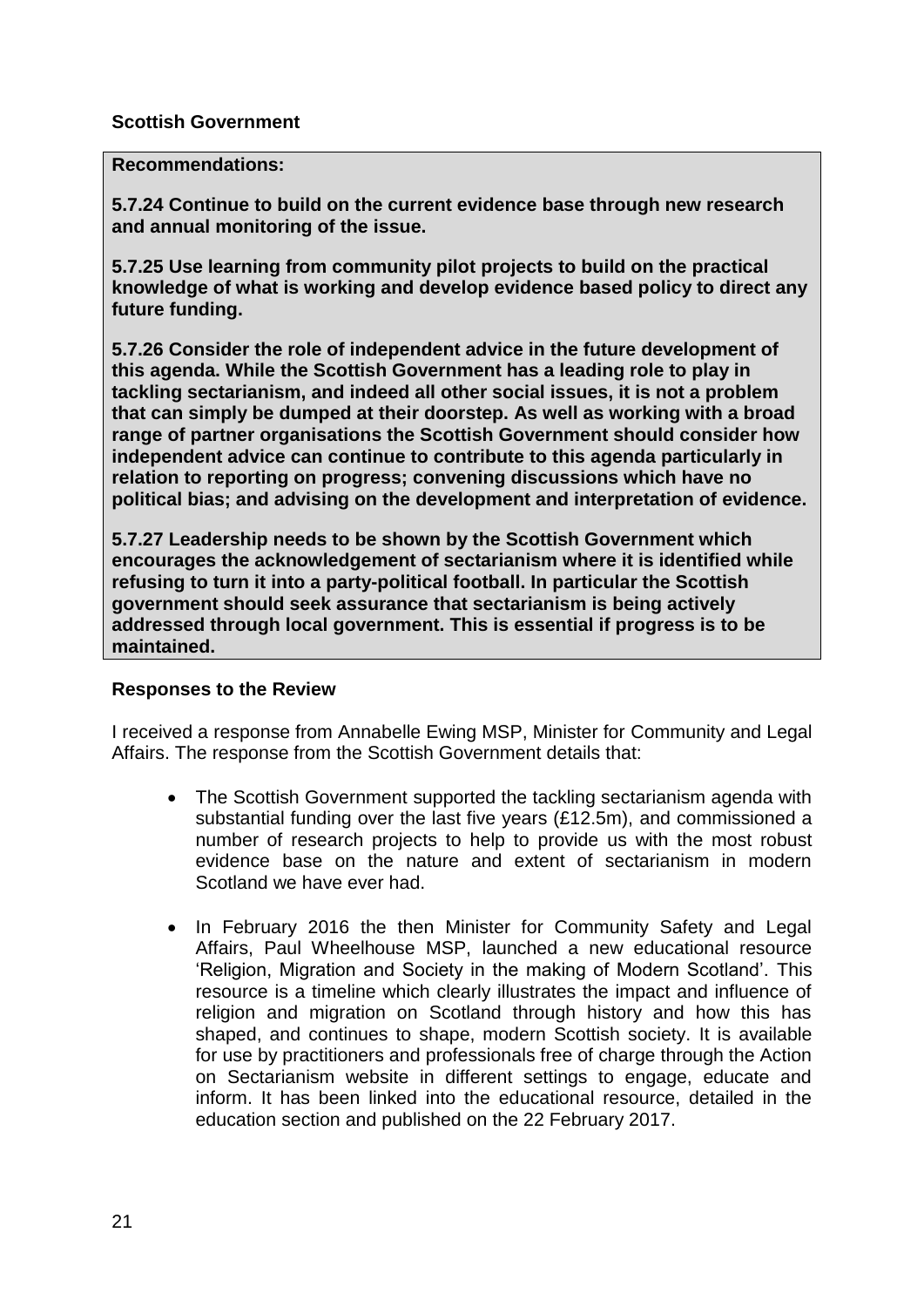### **Scottish Government**

#### **Recommendations:**

**5.7.24 Continue to build on the current evidence base through new research and annual monitoring of the issue.** 

**5.7.25 Use learning from community pilot projects to build on the practical knowledge of what is working and develop evidence based policy to direct any future funding.** 

**5.7.26 Consider the role of independent advice in the future development of this agenda. While the Scottish Government has a leading role to play in tackling sectarianism, and indeed all other social issues, it is not a problem that can simply be dumped at their doorstep. As well as working with a broad range of partner organisations the Scottish Government should consider how independent advice can continue to contribute to this agenda particularly in relation to reporting on progress; convening discussions which have no political bias; and advising on the development and interpretation of evidence.** 

**5.7.27 Leadership needs to be shown by the Scottish Government which encourages the acknowledgement of sectarianism where it is identified while refusing to turn it into a party-political football. In particular the Scottish government should seek assurance that sectarianism is being actively addressed through local government. This is essential if progress is to be maintained.** 

#### **Responses to the Review**

I received a response from Annabelle Ewing MSP, Minister for Community and Legal Affairs. The response from the Scottish Government details that:

- The Scottish Government supported the tackling sectarianism agenda with substantial funding over the last five years (£12.5m), and commissioned a number of research projects to help to provide us with the most robust evidence base on the nature and extent of sectarianism in modern Scotland we have ever had.
- In February 2016 the then Minister for Community Safety and Legal Affairs, Paul Wheelhouse MSP, launched a new educational resource 'Religion, Migration and Society in the making of Modern Scotland'. This resource is a timeline which clearly illustrates the impact and influence of religion and migration on Scotland through history and how this has shaped, and continues to shape, modern Scottish society. It is available for use by practitioners and professionals free of charge through the Action on Sectarianism website in different settings to engage, educate and inform. It has been linked into the educational resource, detailed in the education section and published on the 22 February 2017.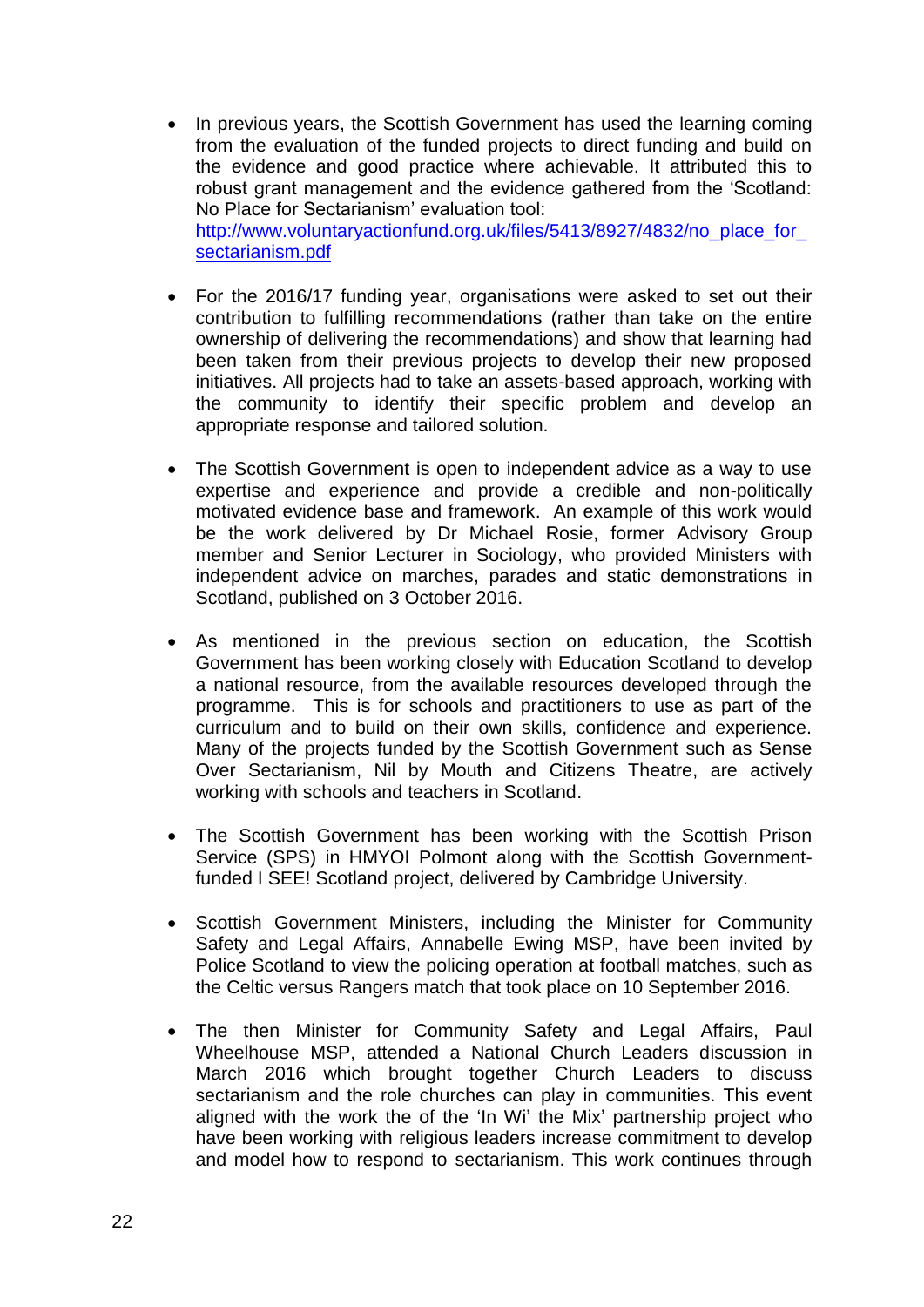- In previous years, the Scottish Government has used the learning coming from the evaluation of the funded projects to direct funding and build on the evidence and good practice where achievable. It attributed this to robust grant management and the evidence gathered from the 'Scotland: No Place for Sectarianism' evaluation tool: http://www.voluntaryactionfund.org.uk/files/5413/8927/4832/no\_place\_for [sectarianism.pdf](http://www.voluntaryactionfund.org.uk/files/5413/8927/4832/no_place_for_sectarianism.pdf)
- For the 2016/17 funding year, organisations were asked to set out their contribution to fulfilling recommendations (rather than take on the entire ownership of delivering the recommendations) and show that learning had been taken from their previous projects to develop their new proposed initiatives. All projects had to take an assets-based approach, working with the community to identify their specific problem and develop an appropriate response and tailored solution.
- The Scottish Government is open to independent advice as a way to use expertise and experience and provide a credible and non-politically motivated evidence base and framework. An example of this work would be the work delivered by Dr Michael Rosie, former Advisory Group member and Senior Lecturer in Sociology, who provided Ministers with independent advice on marches, parades and static demonstrations in Scotland, published on 3 October 2016.
- As mentioned in the previous section on education, the Scottish Government has been working closely with Education Scotland to develop a national resource, from the available resources developed through the programme. This is for schools and practitioners to use as part of the curriculum and to build on their own skills, confidence and experience. Many of the projects funded by the Scottish Government such as Sense Over Sectarianism, Nil by Mouth and Citizens Theatre, are actively working with schools and teachers in Scotland.
- The Scottish Government has been working with the Scottish Prison Service (SPS) in HMYOI Polmont along with the Scottish Governmentfunded I SEE! Scotland project, delivered by Cambridge University.
- Scottish Government Ministers, including the Minister for Community Safety and Legal Affairs, Annabelle Ewing MSP, have been invited by Police Scotland to view the policing operation at football matches, such as the Celtic versus Rangers match that took place on 10 September 2016.
- The then Minister for Community Safety and Legal Affairs, Paul Wheelhouse MSP, attended a National Church Leaders discussion in March 2016 which brought together Church Leaders to discuss sectarianism and the role churches can play in communities. This event aligned with the work the of the 'In Wi' the Mix' partnership project who have been working with religious leaders increase commitment to develop and model how to respond to sectarianism. This work continues through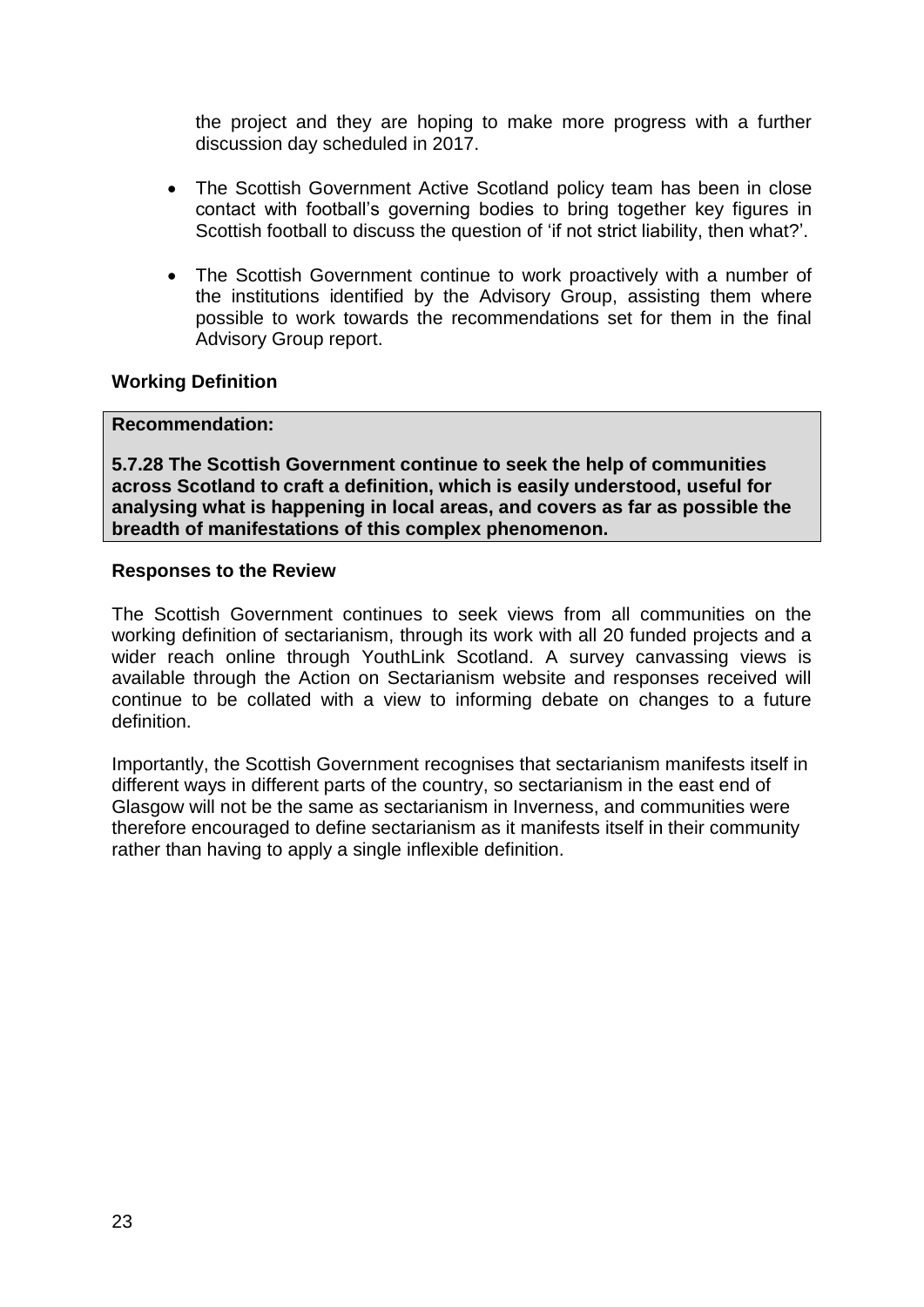the project and they are hoping to make more progress with a further discussion day scheduled in 2017.

- The Scottish Government Active Scotland policy team has been in close contact with football's governing bodies to bring together key figures in Scottish football to discuss the question of 'if not strict liability, then what?'.
- The Scottish Government continue to work proactively with a number of the institutions identified by the Advisory Group, assisting them where possible to work towards the recommendations set for them in the final Advisory Group report.

### **Working Definition**

#### **Recommendation:**

**5.7.28 The Scottish Government continue to seek the help of communities across Scotland to craft a definition, which is easily understood, useful for analysing what is happening in local areas, and covers as far as possible the breadth of manifestations of this complex phenomenon.** 

#### **Responses to the Review**

The Scottish Government continues to seek views from all communities on the working definition of sectarianism, through its work with all 20 funded projects and a wider reach online through YouthLink Scotland. A survey canvassing views is available through the Action on Sectarianism website and responses received will continue to be collated with a view to informing debate on changes to a future definition.

Importantly, the Scottish Government recognises that sectarianism manifests itself in different ways in different parts of the country, so sectarianism in the east end of Glasgow will not be the same as sectarianism in Inverness, and communities were therefore encouraged to define sectarianism as it manifests itself in their community rather than having to apply a single inflexible definition.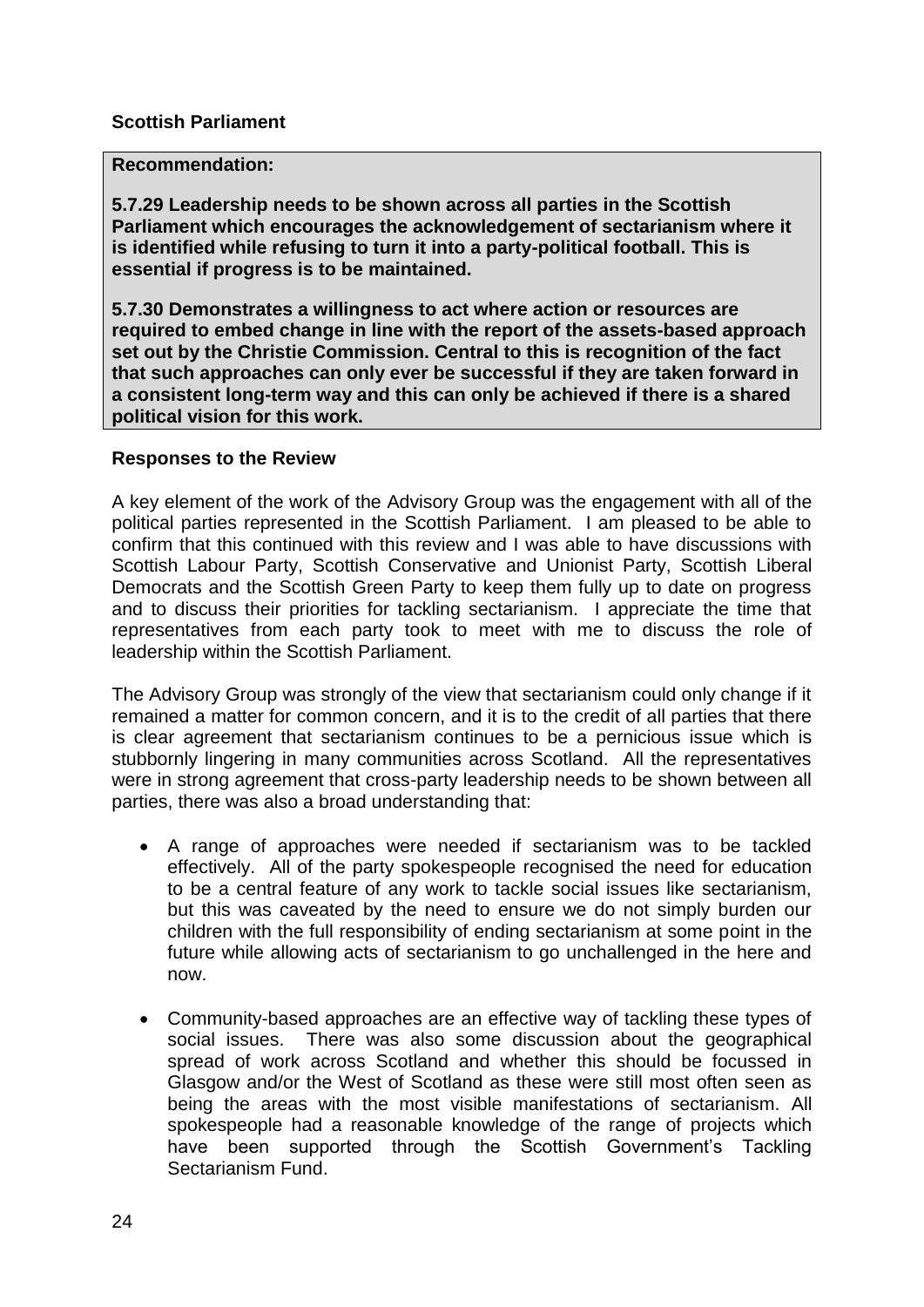#### **Scottish Parliament**

#### **Recommendation:**

**5.7.29 Leadership needs to be shown across all parties in the Scottish Parliament which encourages the acknowledgement of sectarianism where it is identified while refusing to turn it into a party-political football. This is essential if progress is to be maintained.** 

**5.7.30 Demonstrates a willingness to act where action or resources are required to embed change in line with the report of the assets-based approach set out by the Christie Commission. Central to this is recognition of the fact that such approaches can only ever be successful if they are taken forward in a consistent long-term way and this can only be achieved if there is a shared political vision for this work.** 

#### **Responses to the Review**

A key element of the work of the Advisory Group was the engagement with all of the political parties represented in the Scottish Parliament. I am pleased to be able to confirm that this continued with this review and I was able to have discussions with Scottish Labour Party, Scottish Conservative and Unionist Party, Scottish Liberal Democrats and the Scottish Green Party to keep them fully up to date on progress and to discuss their priorities for tackling sectarianism. I appreciate the time that representatives from each party took to meet with me to discuss the role of leadership within the Scottish Parliament.

The Advisory Group was strongly of the view that sectarianism could only change if it remained a matter for common concern, and it is to the credit of all parties that there is clear agreement that sectarianism continues to be a pernicious issue which is stubbornly lingering in many communities across Scotland. All the representatives were in strong agreement that cross-party leadership needs to be shown between all parties, there was also a broad understanding that:

- A range of approaches were needed if sectarianism was to be tackled effectively. All of the party spokespeople recognised the need for education to be a central feature of any work to tackle social issues like sectarianism, but this was caveated by the need to ensure we do not simply burden our children with the full responsibility of ending sectarianism at some point in the future while allowing acts of sectarianism to go unchallenged in the here and now.
- Community-based approaches are an effective way of tackling these types of social issues. There was also some discussion about the geographical spread of work across Scotland and whether this should be focussed in Glasgow and/or the West of Scotland as these were still most often seen as being the areas with the most visible manifestations of sectarianism. All spokespeople had a reasonable knowledge of the range of projects which have been supported through the Scottish Government's Tackling Sectarianism Fund.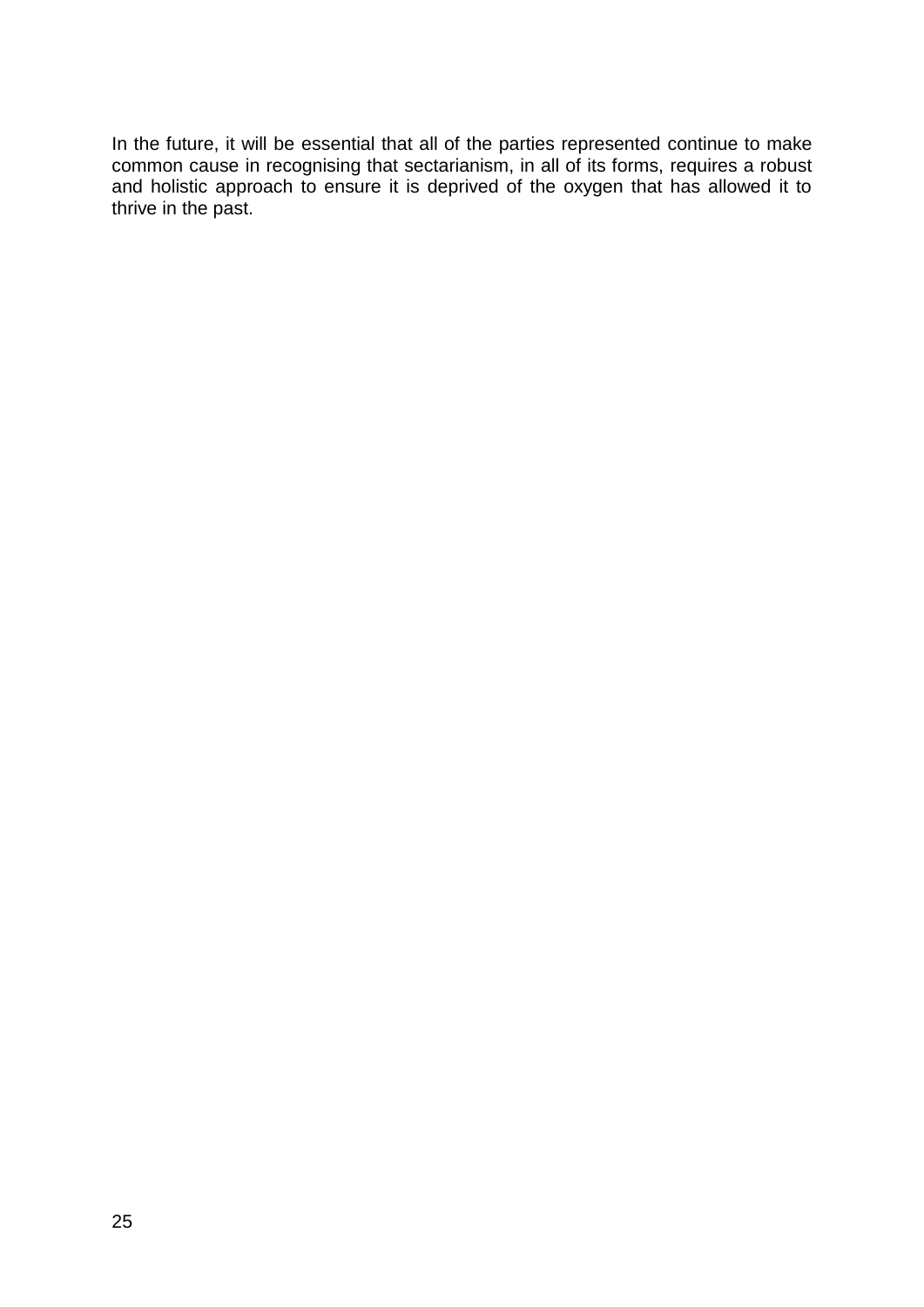In the future, it will be essential that all of the parties represented continue to make common cause in recognising that sectarianism, in all of its forms, requires a robust and holistic approach to ensure it is deprived of the oxygen that has allowed it to thrive in the past.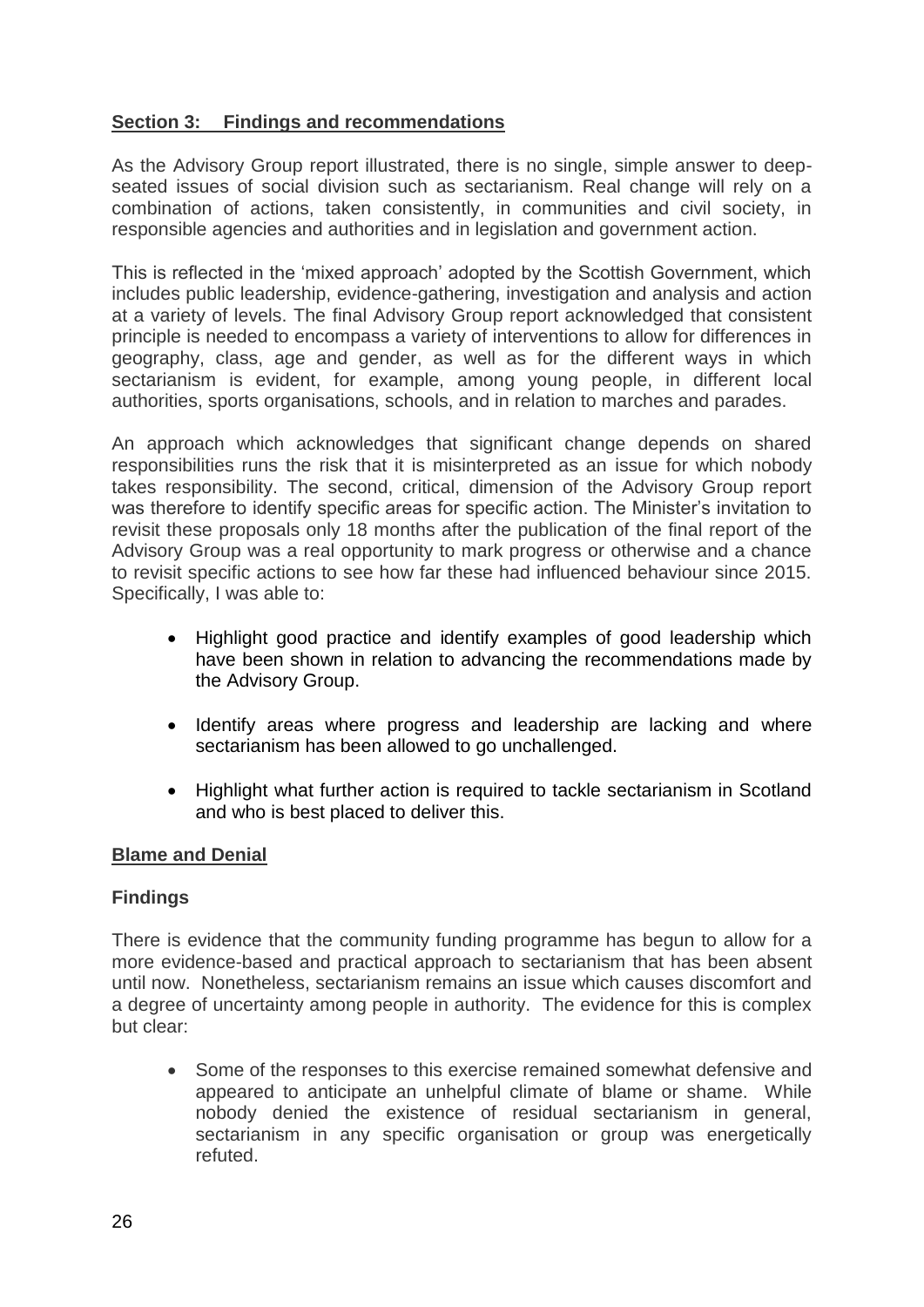# **Section 3: Findings and recommendations**

As the Advisory Group report illustrated, there is no single, simple answer to deepseated issues of social division such as sectarianism. Real change will rely on a combination of actions, taken consistently, in communities and civil society, in responsible agencies and authorities and in legislation and government action.

This is reflected in the 'mixed approach' adopted by the Scottish Government, which includes public leadership, evidence-gathering, investigation and analysis and action at a variety of levels. The final Advisory Group report acknowledged that consistent principle is needed to encompass a variety of interventions to allow for differences in geography, class, age and gender, as well as for the different ways in which sectarianism is evident, for example, among young people, in different local authorities, sports organisations, schools, and in relation to marches and parades.

An approach which acknowledges that significant change depends on shared responsibilities runs the risk that it is misinterpreted as an issue for which nobody takes responsibility. The second, critical, dimension of the Advisory Group report was therefore to identify specific areas for specific action. The Minister's invitation to revisit these proposals only 18 months after the publication of the final report of the Advisory Group was a real opportunity to mark progress or otherwise and a chance to revisit specific actions to see how far these had influenced behaviour since 2015. Specifically, I was able to:

- Highlight good practice and identify examples of good leadership which have been shown in relation to advancing the recommendations made by the Advisory Group.
- Identify areas where progress and leadership are lacking and where sectarianism has been allowed to go unchallenged.
- Highlight what further action is required to tackle sectarianism in Scotland and who is best placed to deliver this.

#### **Blame and Denial**

#### **Findings**

There is evidence that the community funding programme has begun to allow for a more evidence-based and practical approach to sectarianism that has been absent until now. Nonetheless, sectarianism remains an issue which causes discomfort and a degree of uncertainty among people in authority. The evidence for this is complex but clear:

• Some of the responses to this exercise remained somewhat defensive and appeared to anticipate an unhelpful climate of blame or shame. While nobody denied the existence of residual sectarianism in general, sectarianism in any specific organisation or group was energetically refuted.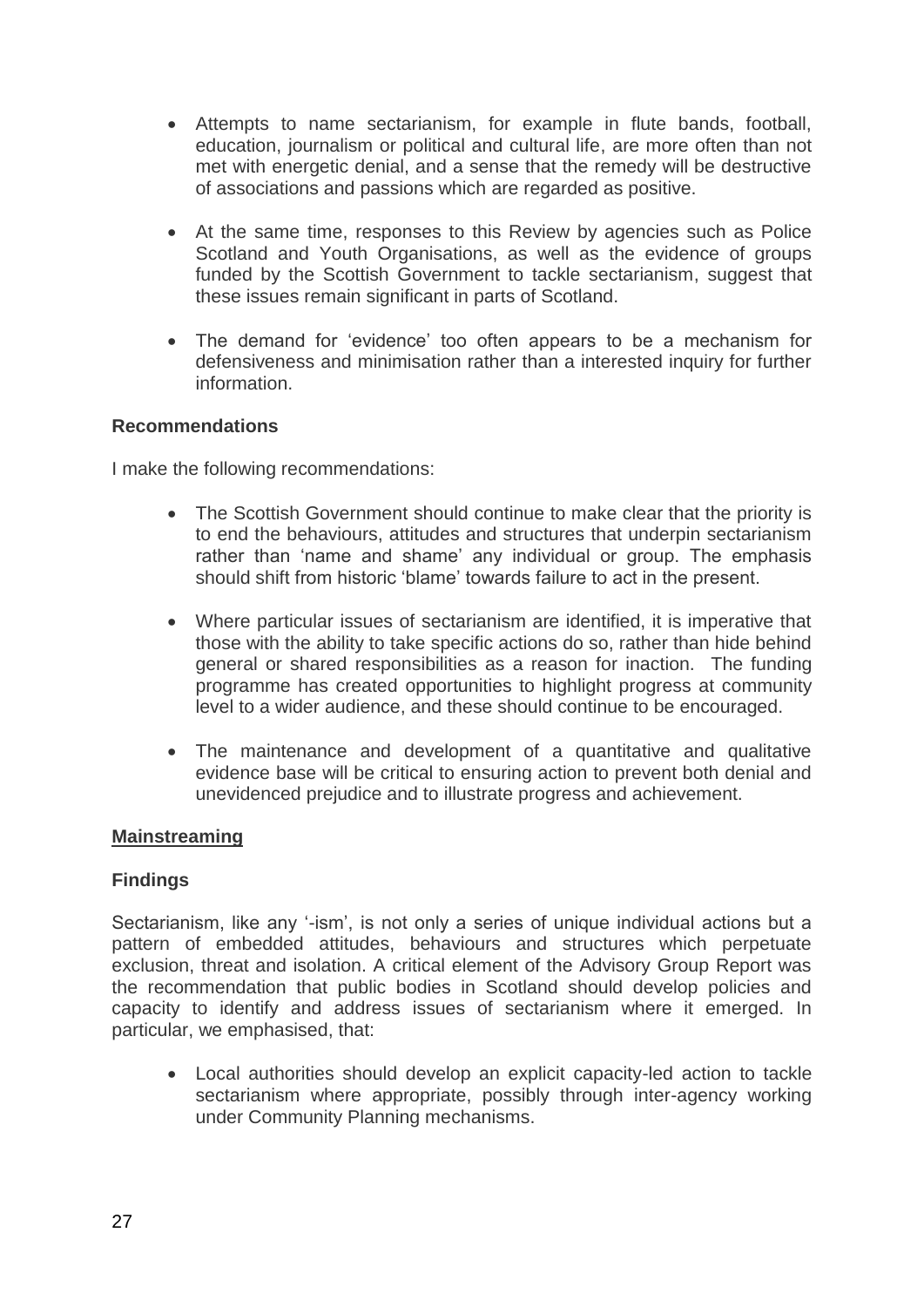- Attempts to name sectarianism, for example in flute bands, football, education, journalism or political and cultural life, are more often than not met with energetic denial, and a sense that the remedy will be destructive of associations and passions which are regarded as positive.
- At the same time, responses to this Review by agencies such as Police Scotland and Youth Organisations, as well as the evidence of groups funded by the Scottish Government to tackle sectarianism, suggest that these issues remain significant in parts of Scotland.
- The demand for 'evidence' too often appears to be a mechanism for defensiveness and minimisation rather than a interested inquiry for further information.

#### **Recommendations**

I make the following recommendations:

- The Scottish Government should continue to make clear that the priority is to end the behaviours, attitudes and structures that underpin sectarianism rather than 'name and shame' any individual or group. The emphasis should shift from historic 'blame' towards failure to act in the present.
- Where particular issues of sectarianism are identified, it is imperative that those with the ability to take specific actions do so, rather than hide behind general or shared responsibilities as a reason for inaction. The funding programme has created opportunities to highlight progress at community level to a wider audience, and these should continue to be encouraged.
- The maintenance and development of a quantitative and qualitative evidence base will be critical to ensuring action to prevent both denial and unevidenced prejudice and to illustrate progress and achievement.

#### **Mainstreaming**

#### **Findings**

Sectarianism, like any '-ism', is not only a series of unique individual actions but a pattern of embedded attitudes, behaviours and structures which perpetuate exclusion, threat and isolation. A critical element of the Advisory Group Report was the recommendation that public bodies in Scotland should develop policies and capacity to identify and address issues of sectarianism where it emerged. In particular, we emphasised, that:

 Local authorities should develop an explicit capacity-led action to tackle sectarianism where appropriate, possibly through inter-agency working under Community Planning mechanisms.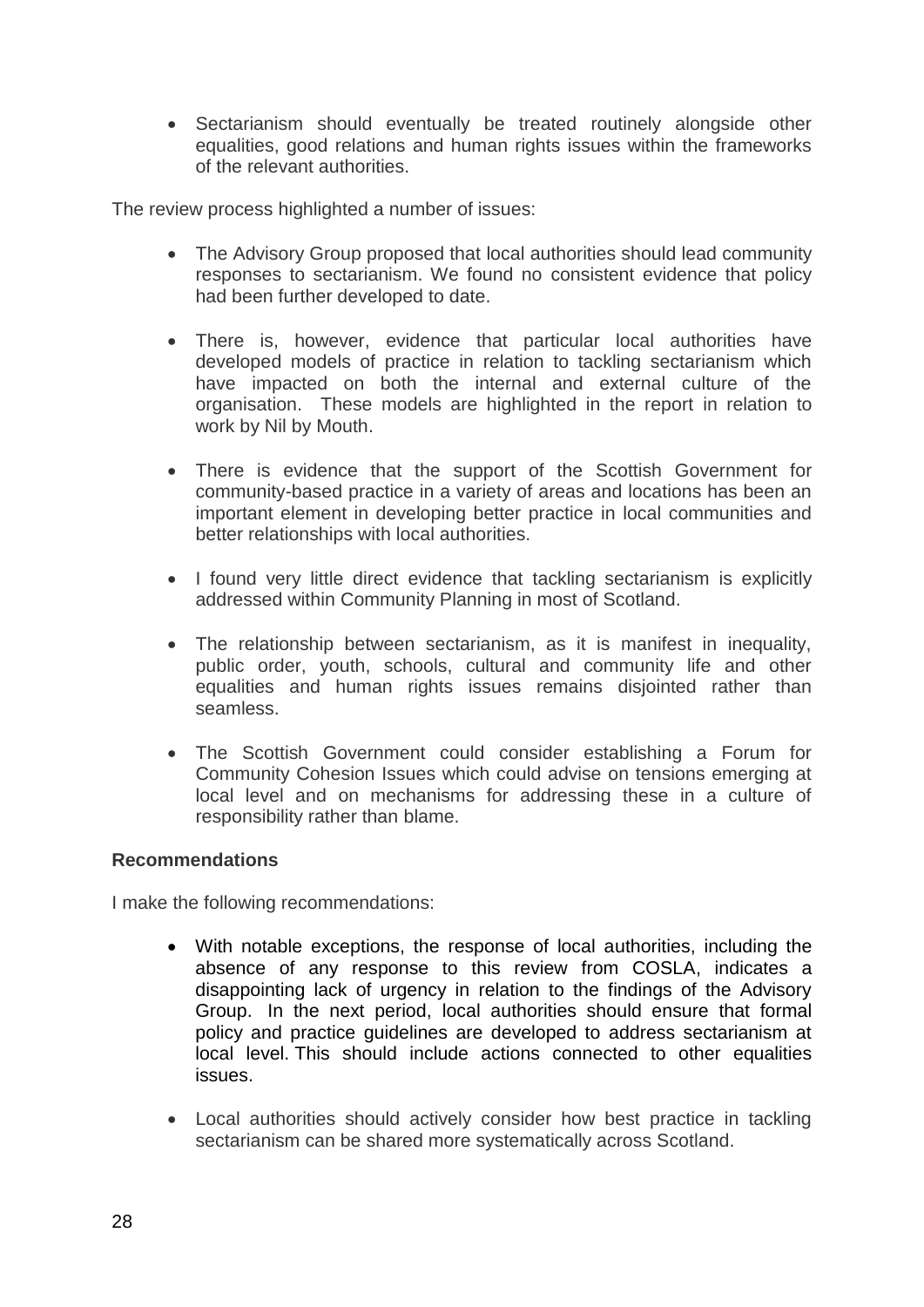• Sectarianism should eventually be treated routinely alongside other equalities, good relations and human rights issues within the frameworks of the relevant authorities.

The review process highlighted a number of issues:

- The Advisory Group proposed that local authorities should lead community responses to sectarianism. We found no consistent evidence that policy had been further developed to date.
- There is, however, evidence that particular local authorities have developed models of practice in relation to tackling sectarianism which have impacted on both the internal and external culture of the organisation. These models are highlighted in the report in relation to work by Nil by Mouth.
- There is evidence that the support of the Scottish Government for community-based practice in a variety of areas and locations has been an important element in developing better practice in local communities and better relationships with local authorities.
- I found very little direct evidence that tackling sectarianism is explicitly addressed within Community Planning in most of Scotland.
- The relationship between sectarianism, as it is manifest in inequality, public order, youth, schools, cultural and community life and other equalities and human rights issues remains disjointed rather than seamless.
- The Scottish Government could consider establishing a Forum for Community Cohesion Issues which could advise on tensions emerging at local level and on mechanisms for addressing these in a culture of responsibility rather than blame.

#### **Recommendations**

I make the following recommendations:

- With notable exceptions, the response of local authorities, including the absence of any response to this review from COSLA, indicates a disappointing lack of urgency in relation to the findings of the Advisory Group. In the next period, local authorities should ensure that formal policy and practice guidelines are developed to address sectarianism at local level. This should include actions connected to other equalities issues.
- Local authorities should actively consider how best practice in tackling sectarianism can be shared more systematically across Scotland.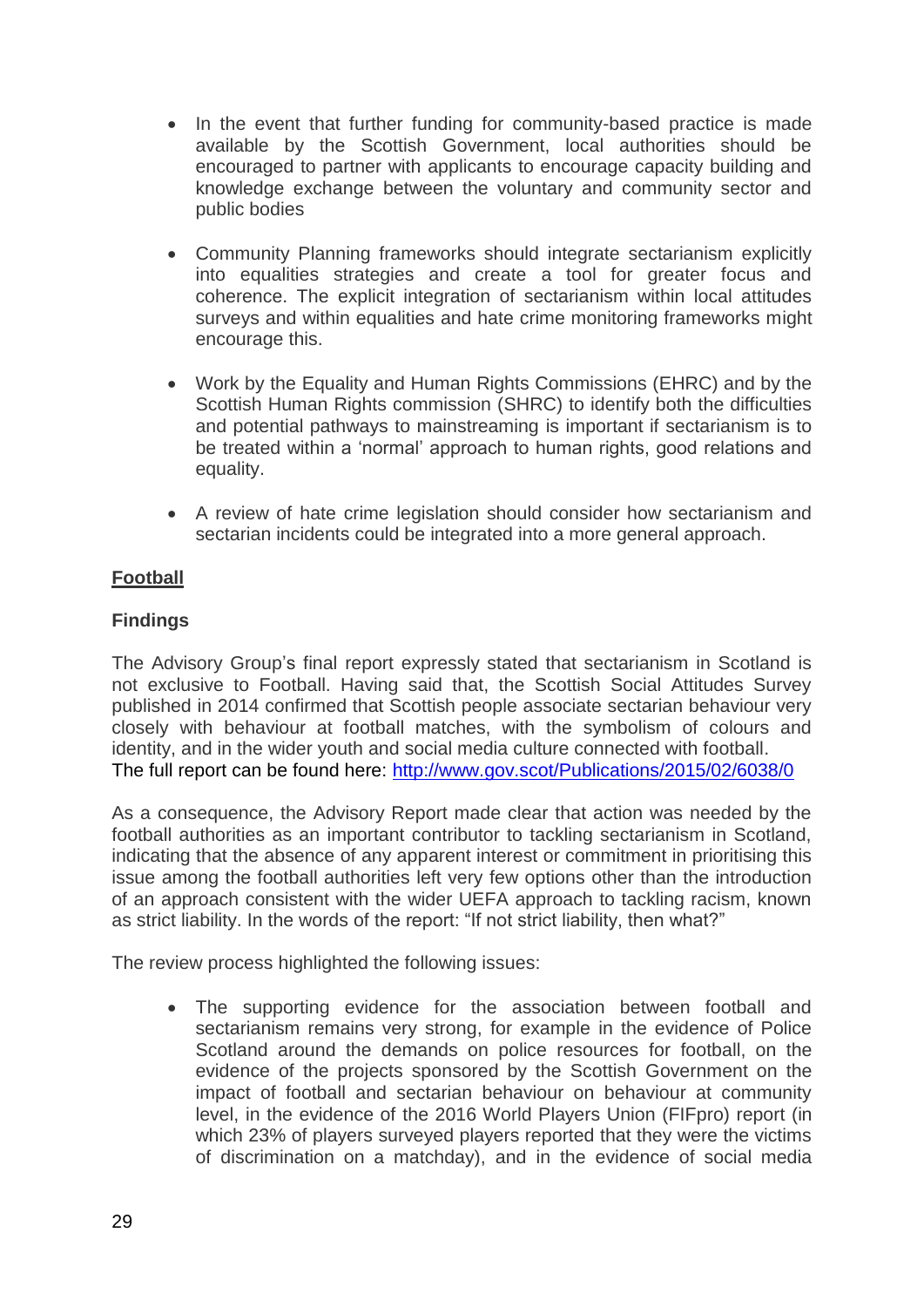- In the event that further funding for community-based practice is made available by the Scottish Government, local authorities should be encouraged to partner with applicants to encourage capacity building and knowledge exchange between the voluntary and community sector and public bodies
- Community Planning frameworks should integrate sectarianism explicitly into equalities strategies and create a tool for greater focus and coherence. The explicit integration of sectarianism within local attitudes surveys and within equalities and hate crime monitoring frameworks might encourage this.
- Work by the Equality and Human Rights Commissions (EHRC) and by the Scottish Human Rights commission (SHRC) to identify both the difficulties and potential pathways to mainstreaming is important if sectarianism is to be treated within a 'normal' approach to human rights, good relations and equality.
- A review of hate crime legislation should consider how sectarianism and sectarian incidents could be integrated into a more general approach.

# **Football**

# **Findings**

The Advisory Group's final report expressly stated that sectarianism in Scotland is not exclusive to Football. Having said that, the Scottish Social Attitudes Survey published in 2014 confirmed that Scottish people associate sectarian behaviour very closely with behaviour at football matches, with the symbolism of colours and identity, and in the wider youth and social media culture connected with football. The full report can be found here: <http://www.gov.scot/Publications/2015/02/6038/0>

As a consequence, the Advisory Report made clear that action was needed by the football authorities as an important contributor to tackling sectarianism in Scotland, indicating that the absence of any apparent interest or commitment in prioritising this issue among the football authorities left very few options other than the introduction of an approach consistent with the wider UEFA approach to tackling racism, known as strict liability. In the words of the report: "If not strict liability, then what?"

The review process highlighted the following issues:

 The supporting evidence for the association between football and sectarianism remains very strong, for example in the evidence of Police Scotland around the demands on police resources for football, on the evidence of the projects sponsored by the Scottish Government on the impact of football and sectarian behaviour on behaviour at community level, in the evidence of the 2016 World Players Union (FIFpro) report (in which 23% of players surveyed players reported that they were the victims of discrimination on a matchday), and in the evidence of social media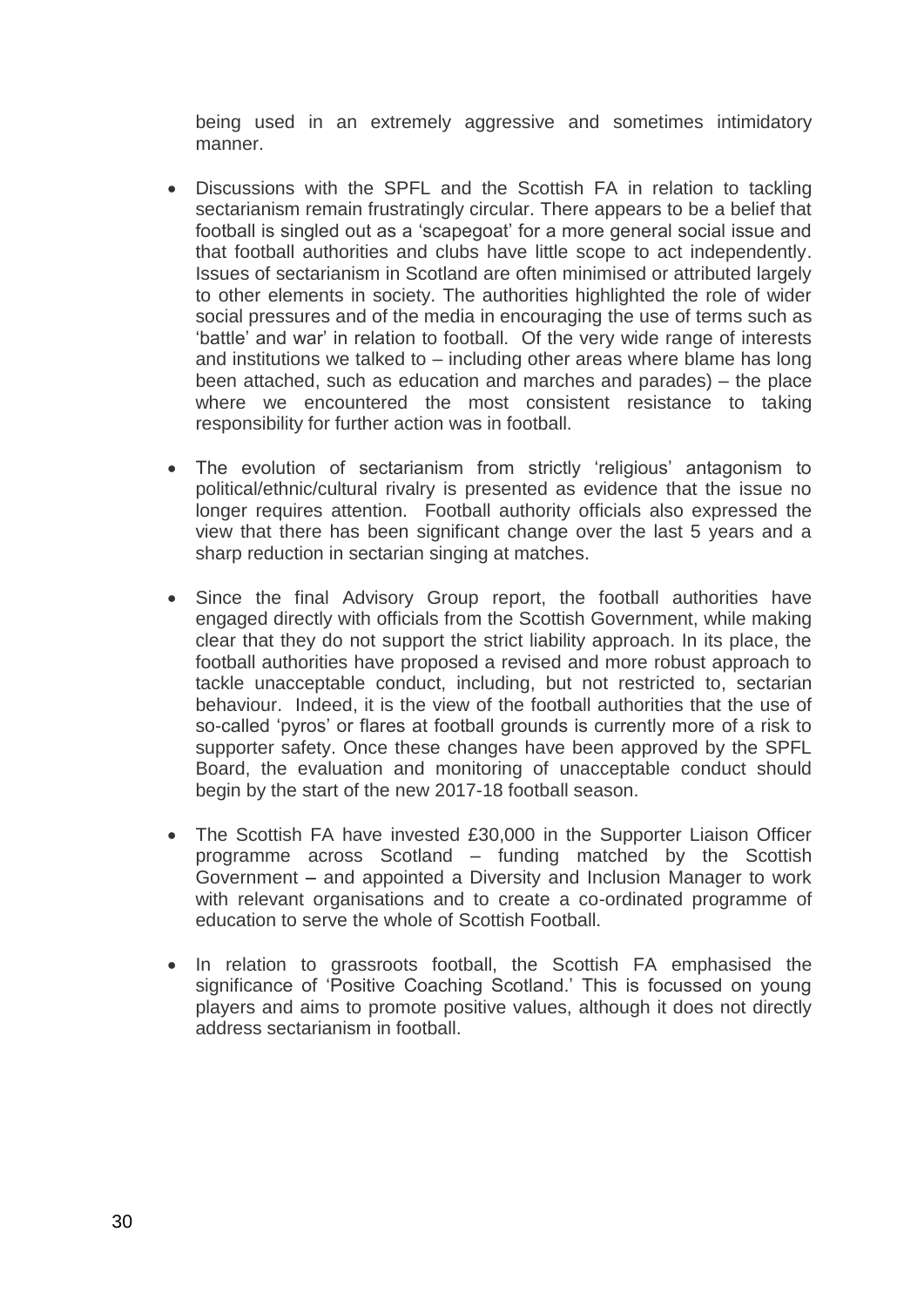being used in an extremely aggressive and sometimes intimidatory manner.

- Discussions with the SPFL and the Scottish FA in relation to tackling sectarianism remain frustratingly circular. There appears to be a belief that football is singled out as a 'scapegoat' for a more general social issue and that football authorities and clubs have little scope to act independently. Issues of sectarianism in Scotland are often minimised or attributed largely to other elements in society. The authorities highlighted the role of wider social pressures and of the media in encouraging the use of terms such as 'battle' and war' in relation to football. Of the very wide range of interests and institutions we talked to – including other areas where blame has long been attached, such as education and marches and parades) – the place where we encountered the most consistent resistance to taking responsibility for further action was in football.
- The evolution of sectarianism from strictly 'religious' antagonism to political/ethnic/cultural rivalry is presented as evidence that the issue no longer requires attention. Football authority officials also expressed the view that there has been significant change over the last 5 years and a sharp reduction in sectarian singing at matches.
- Since the final Advisory Group report, the football authorities have engaged directly with officials from the Scottish Government, while making clear that they do not support the strict liability approach. In its place, the football authorities have proposed a revised and more robust approach to tackle unacceptable conduct, including, but not restricted to, sectarian behaviour. Indeed, it is the view of the football authorities that the use of so-called 'pyros' or flares at football grounds is currently more of a risk to supporter safety. Once these changes have been approved by the SPFL Board, the evaluation and monitoring of unacceptable conduct should begin by the start of the new 2017-18 football season.
- The Scottish FA have invested £30,000 in the Supporter Liaison Officer programme across Scotland – funding matched by the Scottish Government – and appointed a Diversity and Inclusion Manager to work with relevant organisations and to create a co-ordinated programme of education to serve the whole of Scottish Football.
- In relation to grassroots football, the Scottish FA emphasised the significance of 'Positive Coaching Scotland.' This is focussed on young players and aims to promote positive values, although it does not directly address sectarianism in football.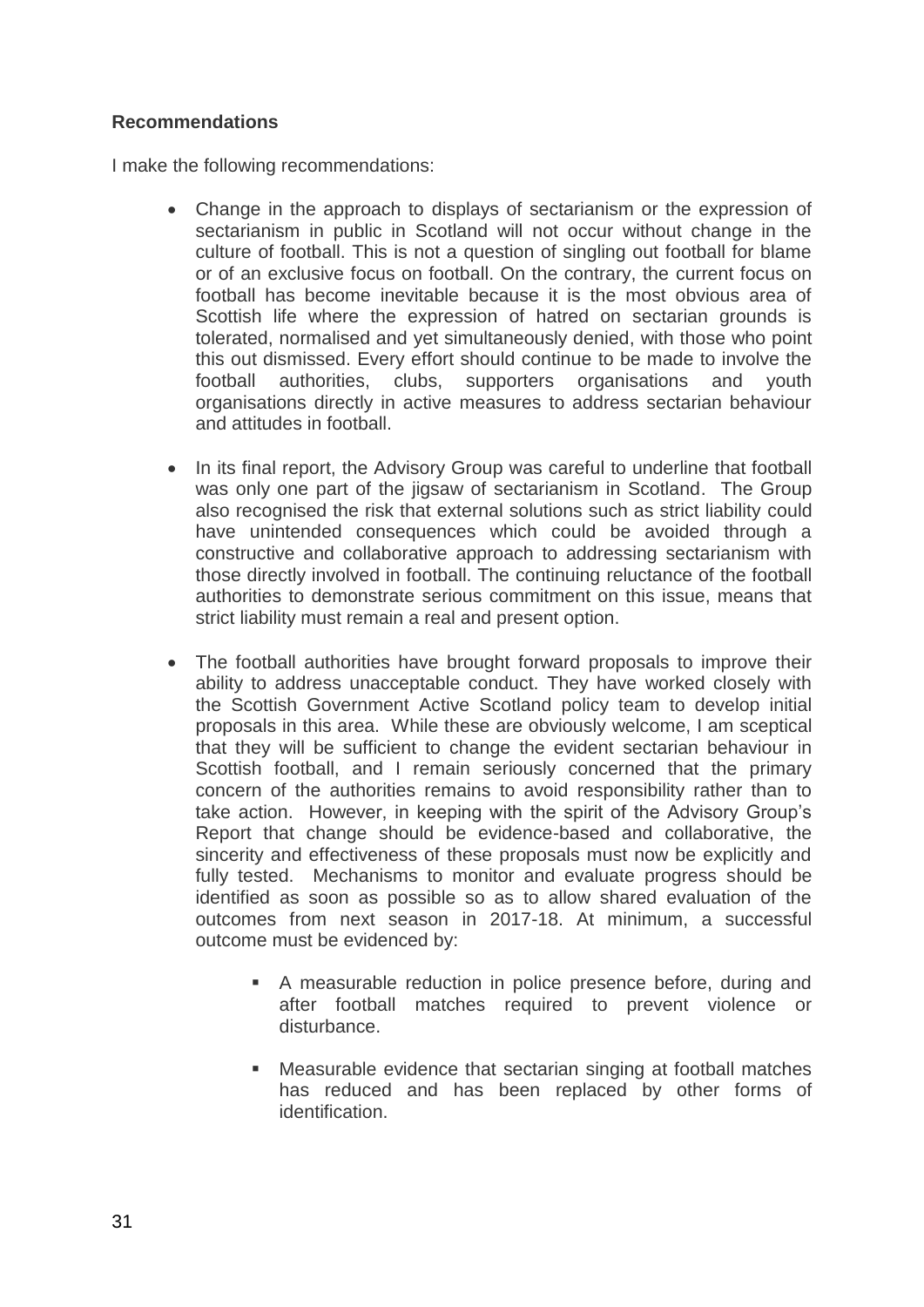# **Recommendations**

I make the following recommendations:

- Change in the approach to displays of sectarianism or the expression of sectarianism in public in Scotland will not occur without change in the culture of football. This is not a question of singling out football for blame or of an exclusive focus on football. On the contrary, the current focus on football has become inevitable because it is the most obvious area of Scottish life where the expression of hatred on sectarian grounds is tolerated, normalised and yet simultaneously denied, with those who point this out dismissed. Every effort should continue to be made to involve the football authorities, clubs, supporters organisations and youth organisations directly in active measures to address sectarian behaviour and attitudes in football.
- In its final report, the Advisory Group was careful to underline that football was only one part of the jigsaw of sectarianism in Scotland. The Group also recognised the risk that external solutions such as strict liability could have unintended consequences which could be avoided through a constructive and collaborative approach to addressing sectarianism with those directly involved in football. The continuing reluctance of the football authorities to demonstrate serious commitment on this issue, means that strict liability must remain a real and present option.
- The football authorities have brought forward proposals to improve their ability to address unacceptable conduct. They have worked closely with the Scottish Government Active Scotland policy team to develop initial proposals in this area. While these are obviously welcome, I am sceptical that they will be sufficient to change the evident sectarian behaviour in Scottish football, and I remain seriously concerned that the primary concern of the authorities remains to avoid responsibility rather than to take action. However, in keeping with the spirit of the Advisory Group's Report that change should be evidence-based and collaborative, the sincerity and effectiveness of these proposals must now be explicitly and fully tested. Mechanisms to monitor and evaluate progress should be identified as soon as possible so as to allow shared evaluation of the outcomes from next season in 2017-18. At minimum, a successful outcome must be evidenced by:
	- A measurable reduction in police presence before, during and after football matches required to prevent violence or disturbance.
	- Measurable evidence that sectarian singing at football matches has reduced and has been replaced by other forms of identification.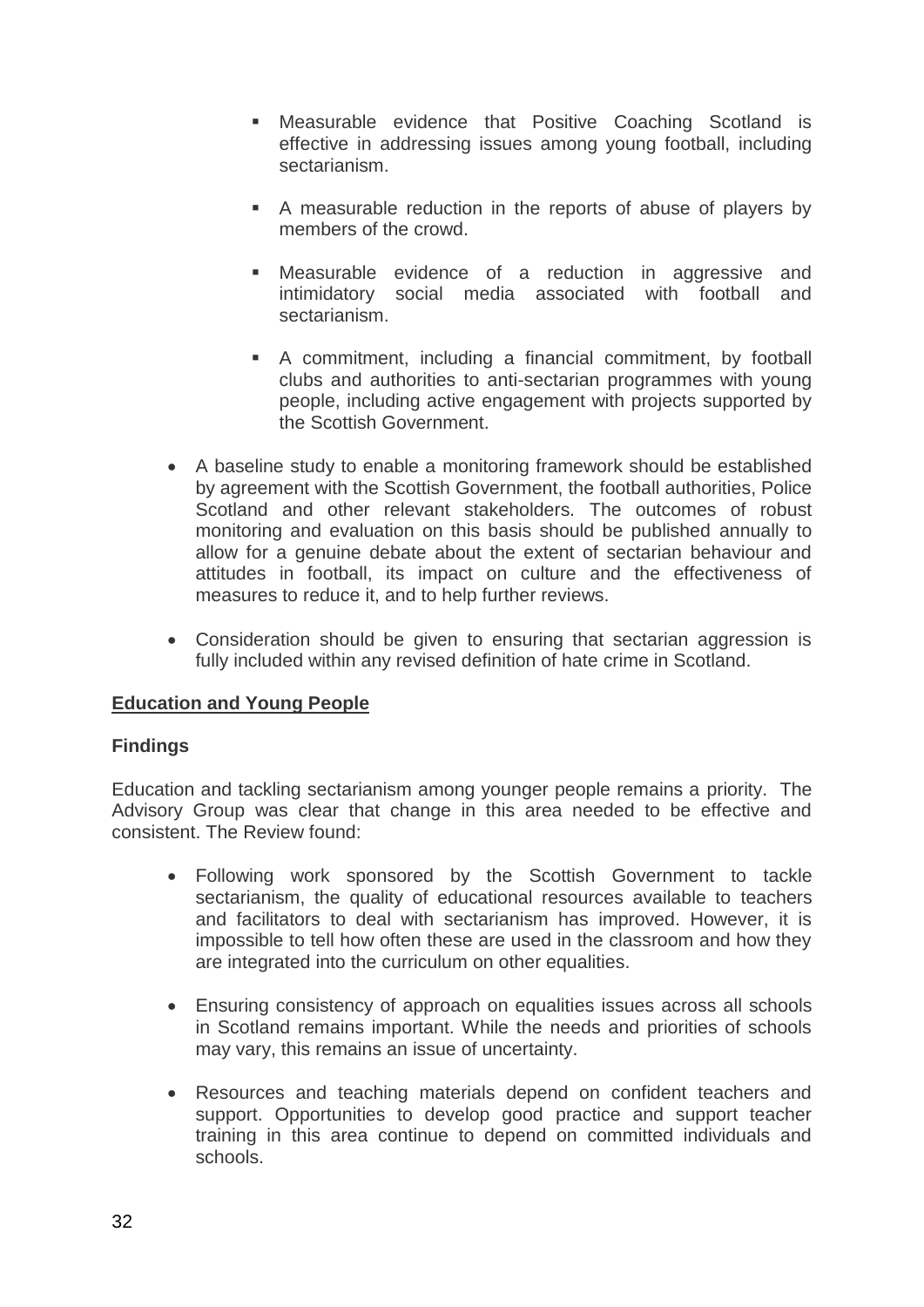- Measurable evidence that Positive Coaching Scotland is effective in addressing issues among young football, including sectarianism.
- A measurable reduction in the reports of abuse of players by members of the crowd.
- Measurable evidence of a reduction in aggressive and intimidatory social media associated with football and sectarianism.
- A commitment, including a financial commitment, by football clubs and authorities to anti-sectarian programmes with young people, including active engagement with projects supported by the Scottish Government.
- A baseline study to enable a monitoring framework should be established by agreement with the Scottish Government, the football authorities, Police Scotland and other relevant stakeholders. The outcomes of robust monitoring and evaluation on this basis should be published annually to allow for a genuine debate about the extent of sectarian behaviour and attitudes in football, its impact on culture and the effectiveness of measures to reduce it, and to help further reviews.
- Consideration should be given to ensuring that sectarian aggression is fully included within any revised definition of hate crime in Scotland.

# **Education and Young People**

#### **Findings**

Education and tackling sectarianism among younger people remains a priority. The Advisory Group was clear that change in this area needed to be effective and consistent. The Review found:

- Following work sponsored by the Scottish Government to tackle sectarianism, the quality of educational resources available to teachers and facilitators to deal with sectarianism has improved. However, it is impossible to tell how often these are used in the classroom and how they are integrated into the curriculum on other equalities.
- Ensuring consistency of approach on equalities issues across all schools in Scotland remains important. While the needs and priorities of schools may vary, this remains an issue of uncertainty.
- Resources and teaching materials depend on confident teachers and support. Opportunities to develop good practice and support teacher training in this area continue to depend on committed individuals and schools.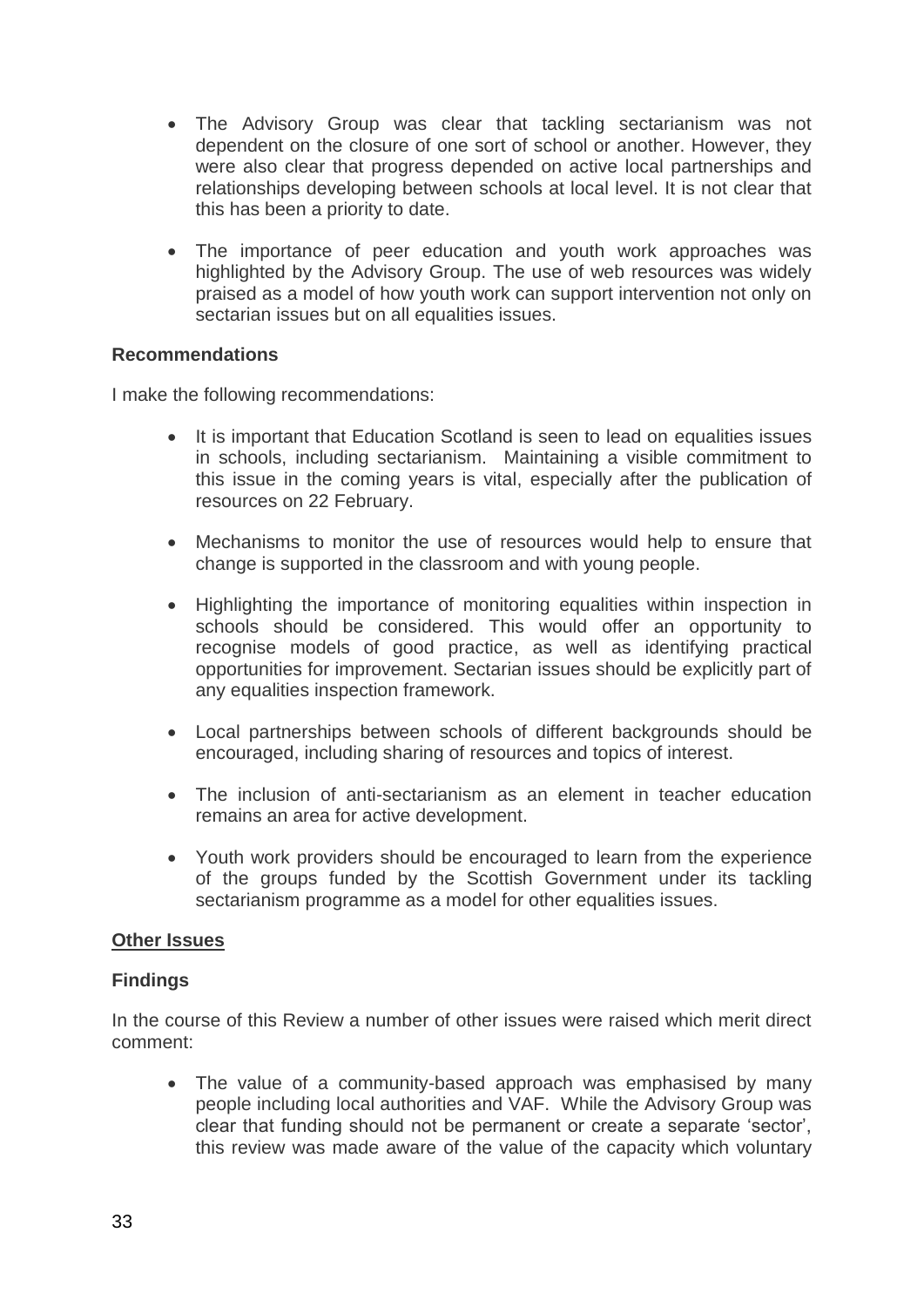- The Advisory Group was clear that tackling sectarianism was not dependent on the closure of one sort of school or another. However, they were also clear that progress depended on active local partnerships and relationships developing between schools at local level. It is not clear that this has been a priority to date.
- The importance of peer education and youth work approaches was highlighted by the Advisory Group. The use of web resources was widely praised as a model of how youth work can support intervention not only on sectarian issues but on all equalities issues.

#### **Recommendations**

I make the following recommendations:

- It is important that Education Scotland is seen to lead on equalities issues in schools, including sectarianism. Maintaining a visible commitment to this issue in the coming years is vital, especially after the publication of resources on 22 February.
- Mechanisms to monitor the use of resources would help to ensure that change is supported in the classroom and with young people.
- Highlighting the importance of monitoring equalities within inspection in schools should be considered. This would offer an opportunity to recognise models of good practice, as well as identifying practical opportunities for improvement. Sectarian issues should be explicitly part of any equalities inspection framework.
- Local partnerships between schools of different backgrounds should be encouraged, including sharing of resources and topics of interest.
- The inclusion of anti-sectarianism as an element in teacher education remains an area for active development.
- Youth work providers should be encouraged to learn from the experience of the groups funded by the Scottish Government under its tackling sectarianism programme as a model for other equalities issues.

#### **Other Issues**

#### **Findings**

In the course of this Review a number of other issues were raised which merit direct comment:

• The value of a community-based approach was emphasised by many people including local authorities and VAF. While the Advisory Group was clear that funding should not be permanent or create a separate 'sector', this review was made aware of the value of the capacity which voluntary